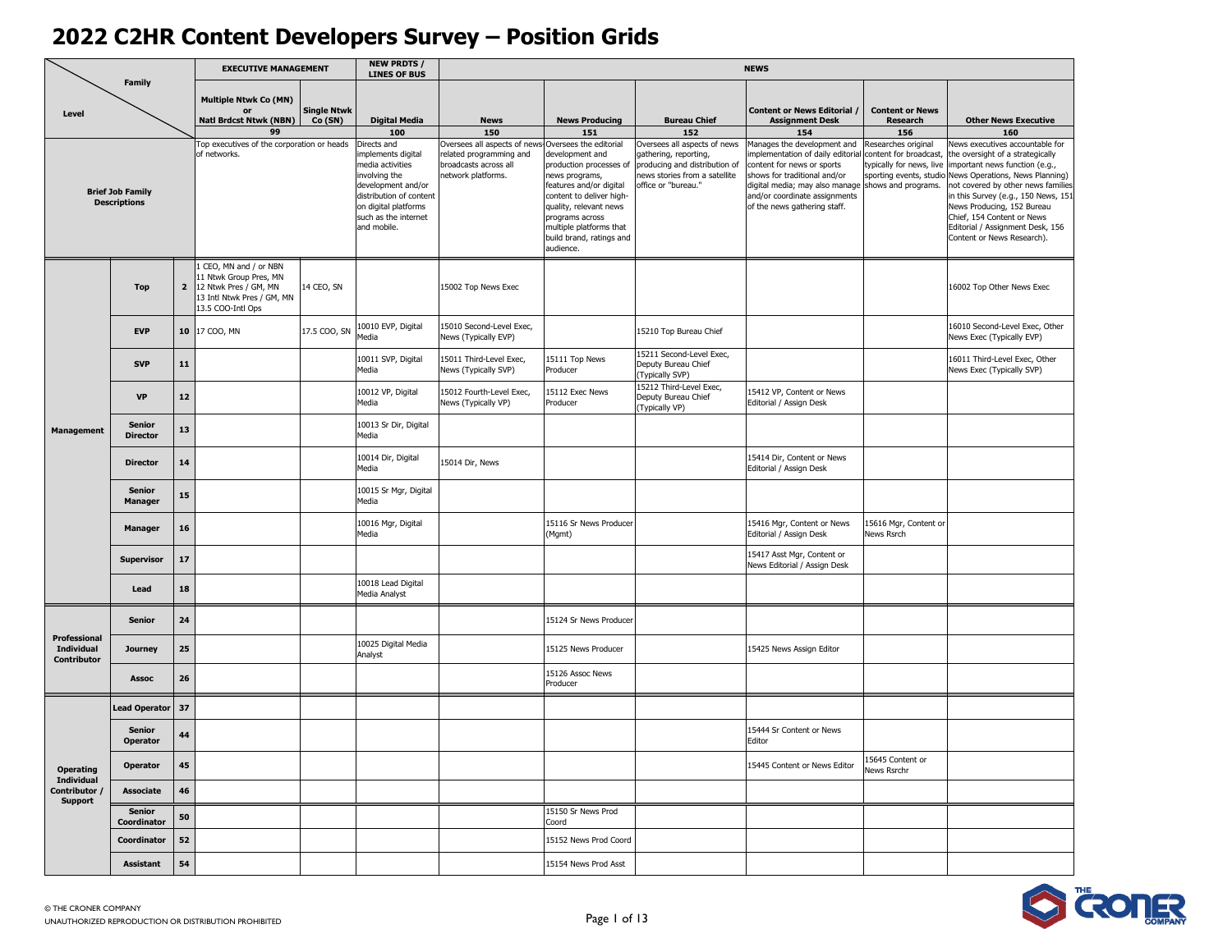|                                         |                                                |                | <b>EXECUTIVE MANAGEMENT</b>                                                                                                |                              | <b>NEW PRDTS /</b><br><b>LINES OF BUS</b>                                                                                                                                              |                                                                                                       |                                                                                                                                                                                                                                                                |                                                                                                                                                | <b>NEWS</b>                                                                                                                                                                                                                                          |                                                                                                      |                                                                                                                                                                                                                                                                                                                                                     |
|-----------------------------------------|------------------------------------------------|----------------|----------------------------------------------------------------------------------------------------------------------------|------------------------------|----------------------------------------------------------------------------------------------------------------------------------------------------------------------------------------|-------------------------------------------------------------------------------------------------------|----------------------------------------------------------------------------------------------------------------------------------------------------------------------------------------------------------------------------------------------------------------|------------------------------------------------------------------------------------------------------------------------------------------------|------------------------------------------------------------------------------------------------------------------------------------------------------------------------------------------------------------------------------------------------------|------------------------------------------------------------------------------------------------------|-----------------------------------------------------------------------------------------------------------------------------------------------------------------------------------------------------------------------------------------------------------------------------------------------------------------------------------------------------|
| Level                                   | <b>Family</b>                                  |                | <b>Multiple Ntwk Co (MN)</b><br>or<br><b>Natl Brdcst Ntwk (NBN)</b><br>99                                                  | <b>Single Ntwk</b><br>Co(SN) | <b>Digital Media</b><br>100                                                                                                                                                            | <b>News</b><br>150                                                                                    | <b>News Producing</b><br>151                                                                                                                                                                                                                                   | <b>Bureau Chief</b><br>152                                                                                                                     | <b>Content or News Editorial /</b><br><b>Assignment Desk</b><br>154                                                                                                                                                                                  | <b>Content or News</b><br><b>Research</b><br>156                                                     | <b>Other News Executive</b><br>160                                                                                                                                                                                                                                                                                                                  |
|                                         | <b>Brief Job Family</b><br><b>Descriptions</b> |                | Top executives of the corporation or heads<br>of networks.                                                                 |                              | Directs and<br>implements digital<br>media activities<br>involving the<br>development and/or<br>distribution of content<br>on digital platforms<br>such as the internet<br>and mobile. | Oversees all aspects of new<br>related programming and<br>broadcasts across all<br>network platforms. | Oversees the editorial<br>development and<br>production processes of<br>news programs,<br>features and/or digital<br>content to deliver high-<br>quality, relevant news<br>programs across<br>multiple platforms that<br>build brand, ratings and<br>audience. | Oversees all aspects of news<br>gathering, reporting,<br>producing and distribution of<br>news stories from a satellite<br>office or "bureau." | Manages the development and<br>mplementation of daily editorial<br>content for news or sports<br>shows for traditional and/or<br>digital media; may also manage shows and programs.<br>and/or coordinate assignments<br>of the news gathering staff. | Researches original<br>content for broadcast,<br>typically for news, live<br>sporting events, studio | News executives accountable for<br>the oversight of a strategically<br>important news function (e.g.,<br>News Operations, News Planning)<br>not covered by other news families<br>in this Survey (e.g., 150 News, 151<br>News Producing, 152 Bureau<br>Chief, 154 Content or News<br>Editorial / Assignment Desk, 156<br>Content or News Research). |
|                                         | <b>Top</b>                                     | $\overline{2}$ | CEO, MN and / or NBN<br>11 Ntwk Group Pres, MN<br>12 Ntwk Pres / GM, MN<br>13 Intl Ntwk Pres / GM, MN<br>13.5 COO-Intl Ops | 14 CEO, SN                   |                                                                                                                                                                                        | 15002 Top News Exec                                                                                   |                                                                                                                                                                                                                                                                |                                                                                                                                                |                                                                                                                                                                                                                                                      |                                                                                                      | 16002 Top Other News Exec                                                                                                                                                                                                                                                                                                                           |
|                                         | <b>EVP</b>                                     |                | 10 17 COO, MN                                                                                                              | 17.5 COO, SN                 | 10010 EVP, Digital<br>Media                                                                                                                                                            | 15010 Second-Level Exec,<br>News (Typically EVP)                                                      |                                                                                                                                                                                                                                                                | 15210 Top Bureau Chief                                                                                                                         |                                                                                                                                                                                                                                                      |                                                                                                      | 16010 Second-Level Exec, Other<br>News Exec (Typically EVP)                                                                                                                                                                                                                                                                                         |
| <b>Management</b>                       | <b>SVP</b>                                     | 11             |                                                                                                                            |                              | 10011 SVP, Digital<br>Media                                                                                                                                                            | 15011 Third-Level Exec,<br>News (Typically SVP)                                                       | 15111 Top News<br>Producer                                                                                                                                                                                                                                     | 15211 Second-Level Exec,<br>Deputy Bureau Chief<br>(Typically SVP)                                                                             |                                                                                                                                                                                                                                                      |                                                                                                      | 16011 Third-Level Exec, Other<br>News Exec (Typically SVP)                                                                                                                                                                                                                                                                                          |
|                                         | <b>VP</b>                                      | $12$           |                                                                                                                            |                              | 10012 VP, Digital<br>Media                                                                                                                                                             | 15012 Fourth-Level Exec,<br>News (Typically VP)                                                       | 15112 Exec News<br>Producer                                                                                                                                                                                                                                    | 15212 Third-Level Exec,<br>Deputy Bureau Chief<br>(Typically VP)                                                                               | 15412 VP, Content or News<br>Editorial / Assign Desk                                                                                                                                                                                                 |                                                                                                      |                                                                                                                                                                                                                                                                                                                                                     |
|                                         | <b>Senior</b><br><b>Director</b>               | 13             |                                                                                                                            |                              | 10013 Sr Dir, Digital<br>Media                                                                                                                                                         |                                                                                                       |                                                                                                                                                                                                                                                                |                                                                                                                                                |                                                                                                                                                                                                                                                      |                                                                                                      |                                                                                                                                                                                                                                                                                                                                                     |
|                                         | <b>Director</b>                                | 14             |                                                                                                                            |                              | 10014 Dir, Digital<br>Media                                                                                                                                                            | 15014 Dir, News                                                                                       |                                                                                                                                                                                                                                                                |                                                                                                                                                | 15414 Dir, Content or News<br>Editorial / Assign Desk                                                                                                                                                                                                |                                                                                                      |                                                                                                                                                                                                                                                                                                                                                     |
|                                         | <b>Senior</b><br><b>Manager</b>                | 15             |                                                                                                                            |                              | 10015 Sr Mgr, Digital<br>Media                                                                                                                                                         |                                                                                                       |                                                                                                                                                                                                                                                                |                                                                                                                                                |                                                                                                                                                                                                                                                      |                                                                                                      |                                                                                                                                                                                                                                                                                                                                                     |
|                                         | <b>Manager</b>                                 | 16             |                                                                                                                            |                              | 10016 Mgr, Digital<br>Media                                                                                                                                                            |                                                                                                       | 15116 Sr News Producer<br>(Mgmt)                                                                                                                                                                                                                               |                                                                                                                                                | 15416 Mgr, Content or News<br>Editorial / Assign Desk                                                                                                                                                                                                | 15616 Mgr, Content or<br>News Rsrch                                                                  |                                                                                                                                                                                                                                                                                                                                                     |
|                                         | <b>Supervisor</b>                              | 17             |                                                                                                                            |                              |                                                                                                                                                                                        |                                                                                                       |                                                                                                                                                                                                                                                                |                                                                                                                                                | 15417 Asst Mgr, Content or<br>News Editorial / Assign Desk                                                                                                                                                                                           |                                                                                                      |                                                                                                                                                                                                                                                                                                                                                     |
|                                         | Lead                                           | 18             |                                                                                                                            |                              | 10018 Lead Digital<br>Media Analyst                                                                                                                                                    |                                                                                                       |                                                                                                                                                                                                                                                                |                                                                                                                                                |                                                                                                                                                                                                                                                      |                                                                                                      |                                                                                                                                                                                                                                                                                                                                                     |
| Professional                            | <b>Senior</b>                                  | 24             |                                                                                                                            |                              |                                                                                                                                                                                        |                                                                                                       | 15124 Sr News Producer                                                                                                                                                                                                                                         |                                                                                                                                                |                                                                                                                                                                                                                                                      |                                                                                                      |                                                                                                                                                                                                                                                                                                                                                     |
| <b>Individual</b><br><b>Contributor</b> | <b>Journey</b>                                 | 25             |                                                                                                                            |                              | 10025 Digital Media<br>Analyst                                                                                                                                                         |                                                                                                       | 15125 News Producer                                                                                                                                                                                                                                            |                                                                                                                                                | 15425 News Assign Editor                                                                                                                                                                                                                             |                                                                                                      |                                                                                                                                                                                                                                                                                                                                                     |
|                                         | <b>Assoc</b>                                   | 26             |                                                                                                                            |                              |                                                                                                                                                                                        |                                                                                                       | 15126 Assoc News<br>Producer                                                                                                                                                                                                                                   |                                                                                                                                                |                                                                                                                                                                                                                                                      |                                                                                                      |                                                                                                                                                                                                                                                                                                                                                     |
|                                         | <b>Lead Operator</b>                           | 37             |                                                                                                                            |                              |                                                                                                                                                                                        |                                                                                                       |                                                                                                                                                                                                                                                                |                                                                                                                                                |                                                                                                                                                                                                                                                      |                                                                                                      |                                                                                                                                                                                                                                                                                                                                                     |
|                                         | <b>Senior</b><br>Operator                      | 44             |                                                                                                                            |                              |                                                                                                                                                                                        |                                                                                                       |                                                                                                                                                                                                                                                                |                                                                                                                                                | 15444 Sr Content or News<br>Editor                                                                                                                                                                                                                   |                                                                                                      |                                                                                                                                                                                                                                                                                                                                                     |
| <b>Operating</b><br><b>Individual</b>   | <b>Operator</b>                                | 45             |                                                                                                                            |                              |                                                                                                                                                                                        |                                                                                                       |                                                                                                                                                                                                                                                                |                                                                                                                                                | 15445 Content or News Editor                                                                                                                                                                                                                         | 15645 Content or<br>News Rsrchr                                                                      |                                                                                                                                                                                                                                                                                                                                                     |
| Contributor /<br><b>Support</b>         | Associate                                      | 46             |                                                                                                                            |                              |                                                                                                                                                                                        |                                                                                                       |                                                                                                                                                                                                                                                                |                                                                                                                                                |                                                                                                                                                                                                                                                      |                                                                                                      |                                                                                                                                                                                                                                                                                                                                                     |
|                                         | <b>Senior</b><br>Coordinator                   | 50             |                                                                                                                            |                              |                                                                                                                                                                                        |                                                                                                       | 15150 Sr News Prod<br>Coord                                                                                                                                                                                                                                    |                                                                                                                                                |                                                                                                                                                                                                                                                      |                                                                                                      |                                                                                                                                                                                                                                                                                                                                                     |
|                                         | Coordinator                                    | 52             |                                                                                                                            |                              |                                                                                                                                                                                        |                                                                                                       | 15152 News Prod Coord                                                                                                                                                                                                                                          |                                                                                                                                                |                                                                                                                                                                                                                                                      |                                                                                                      |                                                                                                                                                                                                                                                                                                                                                     |
|                                         | Assistant                                      | 54             |                                                                                                                            |                              |                                                                                                                                                                                        |                                                                                                       | 15154 News Prod Asst                                                                                                                                                                                                                                           |                                                                                                                                                |                                                                                                                                                                                                                                                      |                                                                                                      |                                                                                                                                                                                                                                                                                                                                                     |

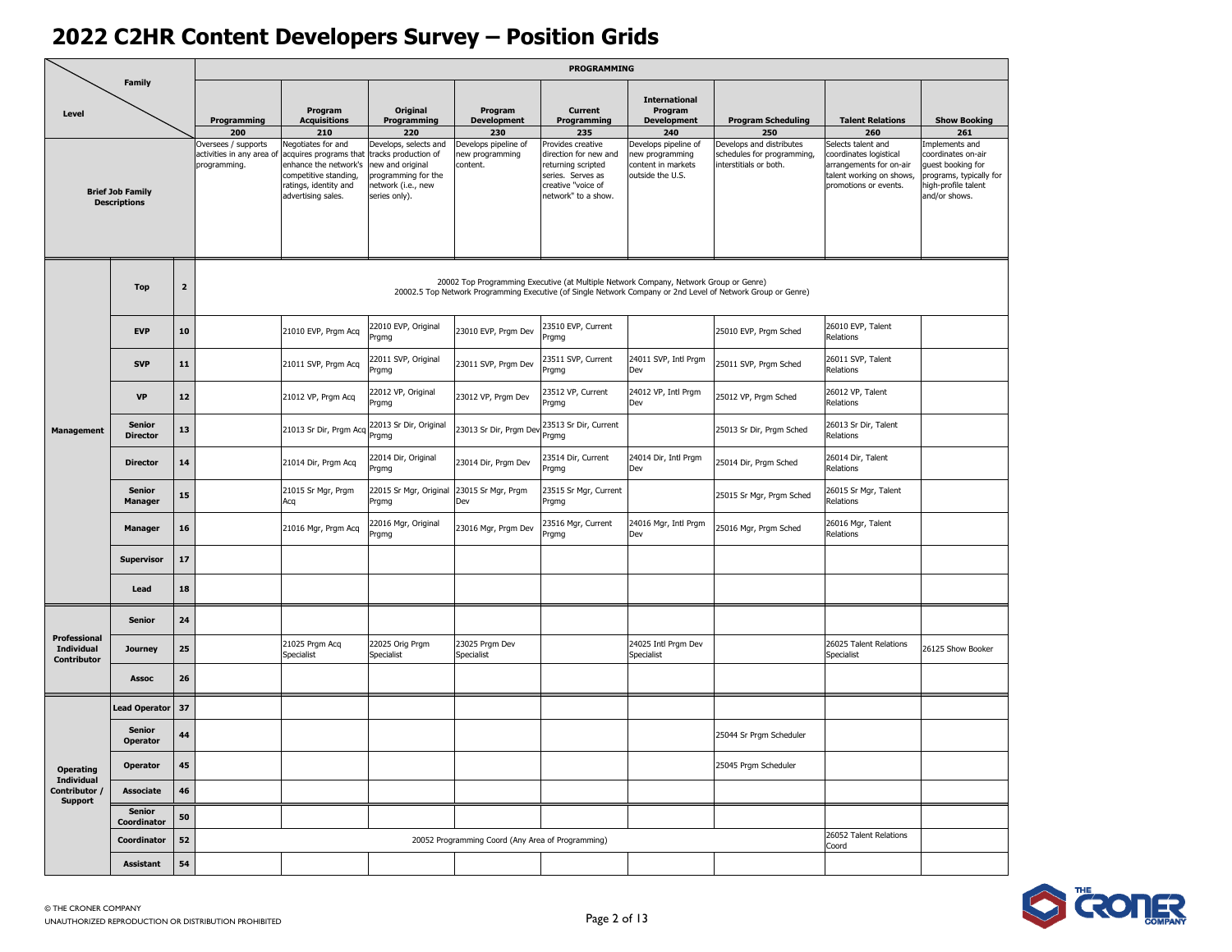|                                                      |                                                |                         |                                                                         |                                                                                                                                                      |                                                                                                                                        |                                                            | PROGRAMMING                                                                                                                               |                                                                                          |                                                                                                              |                                                                                                                                     |                                                                                                                                     |
|------------------------------------------------------|------------------------------------------------|-------------------------|-------------------------------------------------------------------------|------------------------------------------------------------------------------------------------------------------------------------------------------|----------------------------------------------------------------------------------------------------------------------------------------|------------------------------------------------------------|-------------------------------------------------------------------------------------------------------------------------------------------|------------------------------------------------------------------------------------------|--------------------------------------------------------------------------------------------------------------|-------------------------------------------------------------------------------------------------------------------------------------|-------------------------------------------------------------------------------------------------------------------------------------|
| Level                                                | <b>Family</b>                                  |                         | Programming                                                             | Program<br><b>Acquisitions</b>                                                                                                                       | Original<br>Programming                                                                                                                | Program<br><b>Development</b>                              | <b>Current</b><br>Programming                                                                                                             | <b>International</b><br>Program<br><b>Development</b>                                    | <b>Program Scheduling</b>                                                                                    | <b>Talent Relations</b>                                                                                                             | <b>Show Booking</b>                                                                                                                 |
|                                                      | <b>Brief Job Family</b><br><b>Descriptions</b> |                         | 200<br>Oversees / supports<br>activities in any area of<br>programming. | 210<br>Negotiates for and<br>acquires programs that<br>enhance the network's<br>competitive standing,<br>ratings, identity and<br>advertising sales. | 220<br>Develops, selects and<br>tracks production of<br>new and original<br>programming for the<br>network (i.e., new<br>series only). | 230<br>Develops pipeline of<br>new programming<br>content. | 235<br>Provides creative<br>direction for new and<br>returning scripted<br>series. Serves as<br>creative "voice of<br>network" to a show. | 240<br>Develops pipeline of<br>new programming<br>content in markets<br>outside the U.S. | 250<br>Develops and distributes<br>schedules for programming,<br>interstitials or both.                      | 260<br>Selects talent and<br>coordinates logistical<br>arrangements for on-air<br>talent working on shows,<br>promotions or events. | 261<br>Implements and<br>coordinates on-air<br>guest booking for<br>programs, typically for<br>high-profile talent<br>and/or shows. |
|                                                      | <b>Top</b>                                     | $\overline{\mathbf{z}}$ |                                                                         |                                                                                                                                                      |                                                                                                                                        |                                                            |                                                                                                                                           | 20002 Top Programming Executive (at Multiple Network Company, Network Group or Genre)    | 20002.5 Top Network Programming Executive (of Single Network Company or 2nd Level of Network Group or Genre) |                                                                                                                                     |                                                                                                                                     |
|                                                      | <b>EVP</b>                                     | 10                      |                                                                         | 21010 EVP, Prgm Acq                                                                                                                                  | 22010 EVP, Original<br>Prgmg                                                                                                           | 23010 EVP, Prgm Dev                                        | 23510 EVP, Current<br>Prgmg                                                                                                               |                                                                                          | 25010 EVP, Prgm Sched                                                                                        | 26010 EVP, Talent<br>Relations                                                                                                      |                                                                                                                                     |
|                                                      | <b>SVP</b>                                     | 11                      |                                                                         | 21011 SVP, Prgm Acq                                                                                                                                  | 22011 SVP, Original<br>Prgmg                                                                                                           | 23011 SVP, Prgm Dev                                        | 23511 SVP, Current<br>Prgmg                                                                                                               | 24011 SVP, Intl Prgm<br>Dev                                                              | 25011 SVP, Prgm Sched                                                                                        | 26011 SVP, Talent<br>Relations                                                                                                      |                                                                                                                                     |
| <b>Management</b>                                    | <b>VP</b>                                      | 12                      |                                                                         | 21012 VP, Prgm Acq                                                                                                                                   | 22012 VP, Original<br><sup>2</sup> rgmg                                                                                                | 23012 VP, Prgm Dev                                         | 23512 VP, Current<br>Prgmg                                                                                                                | 24012 VP, Intl Prgm<br>Dev                                                               | 25012 VP, Prgm Sched                                                                                         | 26012 VP, Talent<br>Relations                                                                                                       |                                                                                                                                     |
|                                                      | <b>Senior</b><br><b>Director</b>               | 13                      |                                                                         | 21013 Sr Dir, Prgm Acq                                                                                                                               | 22013 Sr Dir, Original<br>Prgmg                                                                                                        | 23013 Sr Dir, Prgm Dev                                     | 23513 Sr Dir, Current<br>Prgmg                                                                                                            |                                                                                          | 25013 Sr Dir, Prgm Sched                                                                                     | 26013 Sr Dir, Talent<br>Relations                                                                                                   |                                                                                                                                     |
|                                                      | <b>Director</b>                                | 14                      |                                                                         | 21014 Dir, Prgm Acq                                                                                                                                  | 22014 Dir, Original<br>Prgmg                                                                                                           | 23014 Dir, Prqm Dev                                        | 23514 Dir, Current<br>Prgmg                                                                                                               | 24014 Dir, Intl Prgm<br>Dev                                                              | 25014 Dir, Prgm Sched                                                                                        | 26014 Dir, Talent<br>Relations                                                                                                      |                                                                                                                                     |
|                                                      | <b>Senior</b><br><b>Manager</b>                | 15                      |                                                                         | 21015 Sr Mgr, Prgm<br>Acq                                                                                                                            | 22015 Sr Mgr, Original 23015 Sr Mgr, Prgm<br>Prgmg                                                                                     | Dev                                                        | 23515 Sr Mgr, Current<br>Prgmg                                                                                                            |                                                                                          | 25015 Sr Mgr, Prgm Sched                                                                                     | 26015 Sr Mgr, Talent<br>Relations                                                                                                   |                                                                                                                                     |
|                                                      | <b>Manager</b>                                 | 16                      |                                                                         | 21016 Mgr, Prgm Acq                                                                                                                                  | 2016 Mgr, Original<br><sup>2</sup> rgmg                                                                                                | 23016 Mgr, Prgm Dev                                        | 23516 Mgr, Current<br>Prgmg                                                                                                               | 24016 Mgr, Intl Prgm<br>Dev                                                              | 25016 Mgr, Prgm Sched                                                                                        | 26016 Mgr, Talent<br>Relations                                                                                                      |                                                                                                                                     |
|                                                      | <b>Supervisor</b>                              | 17                      |                                                                         |                                                                                                                                                      |                                                                                                                                        |                                                            |                                                                                                                                           |                                                                                          |                                                                                                              |                                                                                                                                     |                                                                                                                                     |
|                                                      | Lead                                           | 18                      |                                                                         |                                                                                                                                                      |                                                                                                                                        |                                                            |                                                                                                                                           |                                                                                          |                                                                                                              |                                                                                                                                     |                                                                                                                                     |
| <b>Professional</b>                                  | Senior                                         | 24                      |                                                                         | 21025 Prgm Acq                                                                                                                                       | 22025 Orig Prgm                                                                                                                        | 23025 Prgm Dev                                             |                                                                                                                                           | 24025 Intl Prgm Dev                                                                      |                                                                                                              | 26025 Talent Relations                                                                                                              |                                                                                                                                     |
| Individual<br><b>Contributor</b>                     | Journey<br><b>Assoc</b>                        | 25<br>26                |                                                                         | Specialist                                                                                                                                           | Specialist                                                                                                                             | Specialist                                                 |                                                                                                                                           | Specialist                                                                               |                                                                                                              | Specialist                                                                                                                          | 26125 Show Booker                                                                                                                   |
|                                                      | <b>Lead Operator</b>                           | 37                      |                                                                         |                                                                                                                                                      |                                                                                                                                        |                                                            |                                                                                                                                           |                                                                                          |                                                                                                              |                                                                                                                                     |                                                                                                                                     |
|                                                      | <b>Senior</b><br><b>Operator</b>               | 44                      |                                                                         |                                                                                                                                                      |                                                                                                                                        |                                                            |                                                                                                                                           |                                                                                          | 25044 Sr Prgm Scheduler                                                                                      |                                                                                                                                     |                                                                                                                                     |
| <b>Operating</b>                                     | Operator                                       | 45                      |                                                                         |                                                                                                                                                      |                                                                                                                                        |                                                            |                                                                                                                                           |                                                                                          | 25045 Prgm Scheduler                                                                                         |                                                                                                                                     |                                                                                                                                     |
| <b>Individual</b><br>Contributor /<br><b>Support</b> | <b>Associate</b>                               | 46                      |                                                                         |                                                                                                                                                      |                                                                                                                                        |                                                            |                                                                                                                                           |                                                                                          |                                                                                                              |                                                                                                                                     |                                                                                                                                     |
|                                                      | Senior<br>Coordinator                          | 50                      |                                                                         |                                                                                                                                                      |                                                                                                                                        |                                                            |                                                                                                                                           |                                                                                          |                                                                                                              |                                                                                                                                     |                                                                                                                                     |
|                                                      | Coordinator                                    | 52                      |                                                                         |                                                                                                                                                      |                                                                                                                                        | 20052 Programming Coord (Any Area of Programming)          |                                                                                                                                           |                                                                                          |                                                                                                              | 26052 Talent Relations<br>Coord                                                                                                     |                                                                                                                                     |
|                                                      | <b>Assistant</b>                               | 54                      |                                                                         |                                                                                                                                                      |                                                                                                                                        |                                                            |                                                                                                                                           |                                                                                          |                                                                                                              |                                                                                                                                     |                                                                                                                                     |

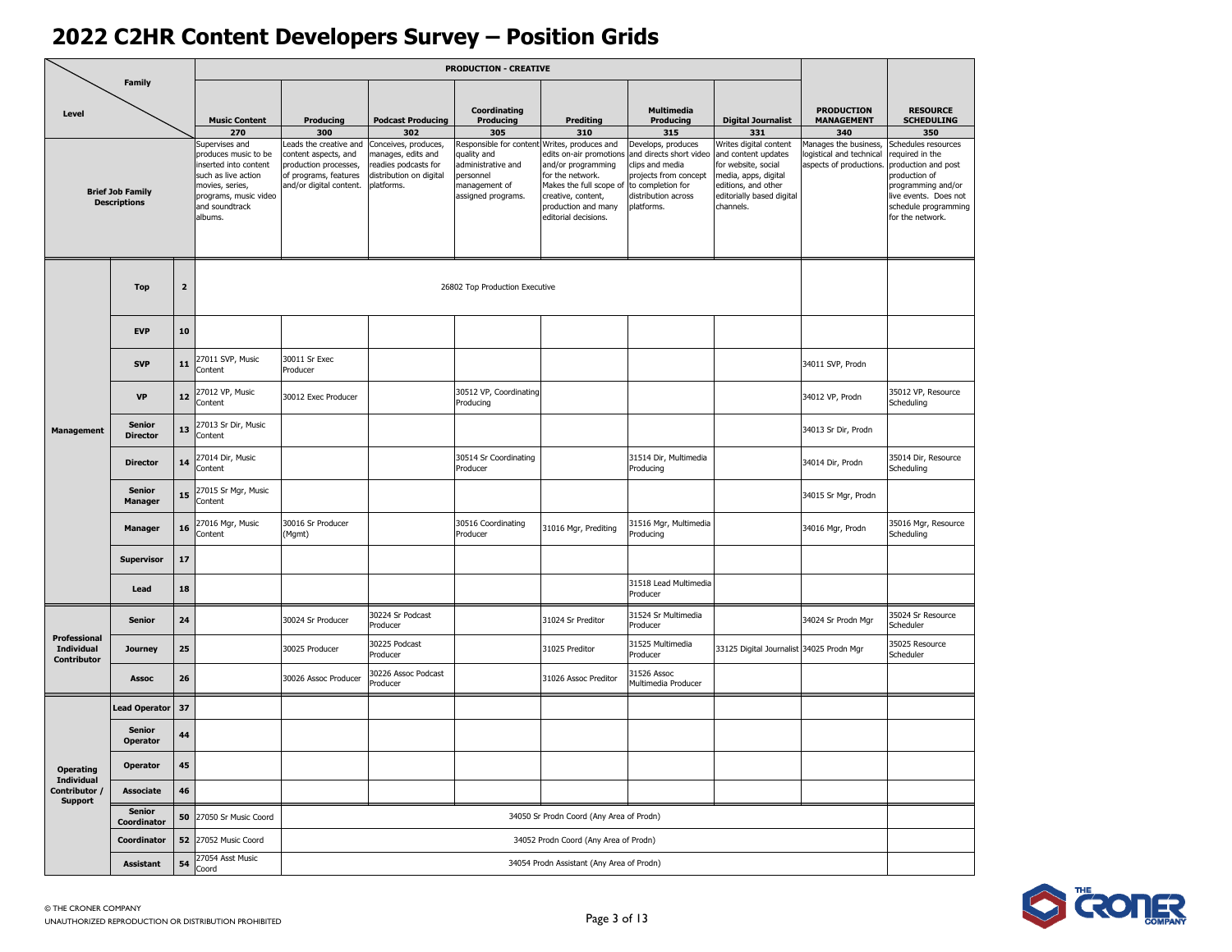|                                                  |                                                |             |                                                                                                                                                                 |                                                                                                                             |                                                                                                             | <b>PRODUCTION - CREATIVE</b>                                                                                                          |                                                                                                                                                                   |                                                                                                                                                     |                                                                                                                                                               |                                                                             |                                                                                                                                                                           |
|--------------------------------------------------|------------------------------------------------|-------------|-----------------------------------------------------------------------------------------------------------------------------------------------------------------|-----------------------------------------------------------------------------------------------------------------------------|-------------------------------------------------------------------------------------------------------------|---------------------------------------------------------------------------------------------------------------------------------------|-------------------------------------------------------------------------------------------------------------------------------------------------------------------|-----------------------------------------------------------------------------------------------------------------------------------------------------|---------------------------------------------------------------------------------------------------------------------------------------------------------------|-----------------------------------------------------------------------------|---------------------------------------------------------------------------------------------------------------------------------------------------------------------------|
| Level                                            | <b>Family</b>                                  |             | <b>Music Content</b><br>270                                                                                                                                     | Producing<br>300                                                                                                            | <b>Podcast Producing</b><br>302                                                                             | Coordinating<br>Producing<br>305                                                                                                      | <b>Prediting</b><br>310                                                                                                                                           | <b>Multimedia</b><br>Producing<br>315                                                                                                               | <b>Digital Journalist</b><br>331                                                                                                                              | <b>PRODUCTION</b><br><b>MANAGEMENT</b><br>340                               | <b>RESOURCE</b><br><b>SCHEDULING</b><br>350                                                                                                                               |
|                                                  | <b>Brief Job Family</b><br><b>Descriptions</b> |             | Supervises and<br>produces music to be<br>inserted into content<br>such as live action<br>movies, series,<br>programs, music video<br>and soundtrack<br>albums. | Leads the creative and<br>content aspects, and<br>production processes,<br>of programs, features<br>and/or digital content. | Conceives, produces,<br>manages, edits and<br>readies podcasts for<br>distribution on digital<br>platforms. | Responsible for content Writes, produces and<br>quality and<br>administrative and<br>personnel<br>management of<br>assigned programs. | edits on-air promotions<br>and/or programming<br>for the network.<br>Makes the full scope of<br>creative, content,<br>production and many<br>editorial decisions. | Develops, produces<br>and directs short video<br>clips and media<br>projects from concept<br>to completion for<br>distribution across<br>platforms. | Writes digital content<br>and content updates<br>for website, social<br>media, apps, digital<br>editions, and other<br>editorially based digital<br>channels. | lanages the business,<br>ogistical and technical<br>aspects of productions. | Schedules resources<br>required in the<br>production and post<br>production of<br>programming and/or<br>live events. Does not<br>schedule programming<br>for the network. |
|                                                  | <b>Top</b>                                     | $\mathbf 2$ |                                                                                                                                                                 |                                                                                                                             |                                                                                                             | 26802 Top Production Executive                                                                                                        |                                                                                                                                                                   |                                                                                                                                                     |                                                                                                                                                               |                                                                             |                                                                                                                                                                           |
|                                                  | <b>EVP</b>                                     | 10          |                                                                                                                                                                 |                                                                                                                             |                                                                                                             |                                                                                                                                       |                                                                                                                                                                   |                                                                                                                                                     |                                                                                                                                                               |                                                                             |                                                                                                                                                                           |
| <b>Management</b>                                | <b>SVP</b>                                     | 11          | 27011 SVP, Music<br>Content                                                                                                                                     | 30011 Sr Exec<br>Producer                                                                                                   |                                                                                                             |                                                                                                                                       |                                                                                                                                                                   |                                                                                                                                                     |                                                                                                                                                               | 34011 SVP, Prodn                                                            |                                                                                                                                                                           |
|                                                  | <b>VP</b>                                      | 12          | 27012 VP, Music<br>Content                                                                                                                                      | 30012 Exec Producer                                                                                                         |                                                                                                             | 30512 VP, Coordinating<br>Producing                                                                                                   |                                                                                                                                                                   |                                                                                                                                                     |                                                                                                                                                               | 34012 VP, Prodn                                                             | 35012 VP, Resource<br>Scheduling                                                                                                                                          |
|                                                  | <b>Senior</b><br><b>Director</b>               | 13          | 27013 Sr Dir, Music<br>Content                                                                                                                                  |                                                                                                                             |                                                                                                             |                                                                                                                                       |                                                                                                                                                                   |                                                                                                                                                     |                                                                                                                                                               | 34013 Sr Dir, Prodn                                                         |                                                                                                                                                                           |
|                                                  | <b>Director</b>                                | 14          | 27014 Dir, Music<br>Content                                                                                                                                     |                                                                                                                             |                                                                                                             | 30514 Sr Coordinating<br>Producer                                                                                                     |                                                                                                                                                                   | 31514 Dir, Multimedia<br>Producing                                                                                                                  |                                                                                                                                                               | 34014 Dir, Prodn                                                            | 35014 Dir, Resource<br>Scheduling                                                                                                                                         |
|                                                  | <b>Senior</b><br><b>Manager</b>                | 15          | 27015 Sr Mgr, Music<br>Content                                                                                                                                  |                                                                                                                             |                                                                                                             |                                                                                                                                       |                                                                                                                                                                   |                                                                                                                                                     |                                                                                                                                                               | 34015 Sr Mgr, Prodn                                                         |                                                                                                                                                                           |
|                                                  | <b>Manager</b>                                 | 16          | 27016 Mgr, Music<br>Content                                                                                                                                     | 30016 Sr Producer<br>(Mgmt)                                                                                                 |                                                                                                             | 30516 Coordinating<br>Producer                                                                                                        | 31016 Mgr, Prediting                                                                                                                                              | 31516 Mgr, Multimedia<br>Producing                                                                                                                  |                                                                                                                                                               | 34016 Mgr, Prodn                                                            | 35016 Mgr, Resource<br>Scheduling                                                                                                                                         |
|                                                  | <b>Supervisor</b>                              | ${\bf 17}$  |                                                                                                                                                                 |                                                                                                                             |                                                                                                             |                                                                                                                                       |                                                                                                                                                                   |                                                                                                                                                     |                                                                                                                                                               |                                                                             |                                                                                                                                                                           |
|                                                  | Lead                                           | 18          |                                                                                                                                                                 |                                                                                                                             |                                                                                                             |                                                                                                                                       |                                                                                                                                                                   | 31518 Lead Multimedia<br>Producer                                                                                                                   |                                                                                                                                                               |                                                                             |                                                                                                                                                                           |
|                                                  | <b>Senior</b>                                  | 24          |                                                                                                                                                                 | 30024 Sr Producer                                                                                                           | 30224 Sr Podcast<br>Producer                                                                                |                                                                                                                                       | 31024 Sr Preditor                                                                                                                                                 | 31524 Sr Multimedia<br>Producer                                                                                                                     |                                                                                                                                                               | 34024 Sr Prodn Mgr                                                          | 35024 Sr Resource<br>Scheduler                                                                                                                                            |
| Professional<br>Individual<br><b>Contributor</b> | <b>Journey</b>                                 | 25          |                                                                                                                                                                 | 30025 Producer                                                                                                              | 30225 Podcast<br>Producer                                                                                   |                                                                                                                                       | 31025 Preditor                                                                                                                                                    | 31525 Multimedia<br>Producer                                                                                                                        | 33125 Digital Journalist 34025 Prodn Mgr                                                                                                                      |                                                                             | 35025 Resource<br>Scheduler                                                                                                                                               |
|                                                  | <b>Assoc</b>                                   | 26          |                                                                                                                                                                 | 30026 Assoc Producer                                                                                                        | 30226 Assoc Podcast<br>Producer                                                                             |                                                                                                                                       | 31026 Assoc Preditor                                                                                                                                              | 31526 Assoc<br>Multimedia Producer                                                                                                                  |                                                                                                                                                               |                                                                             |                                                                                                                                                                           |
|                                                  | <b>Lead Operator</b>                           | 37          |                                                                                                                                                                 |                                                                                                                             |                                                                                                             |                                                                                                                                       |                                                                                                                                                                   |                                                                                                                                                     |                                                                                                                                                               |                                                                             |                                                                                                                                                                           |
|                                                  | <b>Senior</b><br><b>Operator</b>               | 44          |                                                                                                                                                                 |                                                                                                                             |                                                                                                             |                                                                                                                                       |                                                                                                                                                                   |                                                                                                                                                     |                                                                                                                                                               |                                                                             |                                                                                                                                                                           |
| <b>Operating</b><br>Individual                   | Operator                                       | 45          |                                                                                                                                                                 |                                                                                                                             |                                                                                                             |                                                                                                                                       |                                                                                                                                                                   |                                                                                                                                                     |                                                                                                                                                               |                                                                             |                                                                                                                                                                           |
| Contributor /<br><b>Support</b>                  | Associate                                      | 46          |                                                                                                                                                                 |                                                                                                                             |                                                                                                             |                                                                                                                                       |                                                                                                                                                                   |                                                                                                                                                     |                                                                                                                                                               |                                                                             |                                                                                                                                                                           |
|                                                  | Senior<br>Coordinator                          | 50          | 27050 Sr Music Coord                                                                                                                                            |                                                                                                                             |                                                                                                             |                                                                                                                                       | 34050 Sr Prodn Coord (Any Area of Prodn)                                                                                                                          |                                                                                                                                                     |                                                                                                                                                               |                                                                             |                                                                                                                                                                           |
|                                                  | Coordinator                                    | 52          | 27052 Music Coord                                                                                                                                               |                                                                                                                             |                                                                                                             |                                                                                                                                       | 34052 Prodn Coord (Any Area of Prodn)                                                                                                                             |                                                                                                                                                     |                                                                                                                                                               |                                                                             |                                                                                                                                                                           |
|                                                  | Assistant                                      | 54          | 27054 Asst Music<br>Coord                                                                                                                                       |                                                                                                                             |                                                                                                             |                                                                                                                                       | 34054 Prodn Assistant (Any Area of Prodn)                                                                                                                         |                                                                                                                                                     |                                                                                                                                                               |                                                                             |                                                                                                                                                                           |

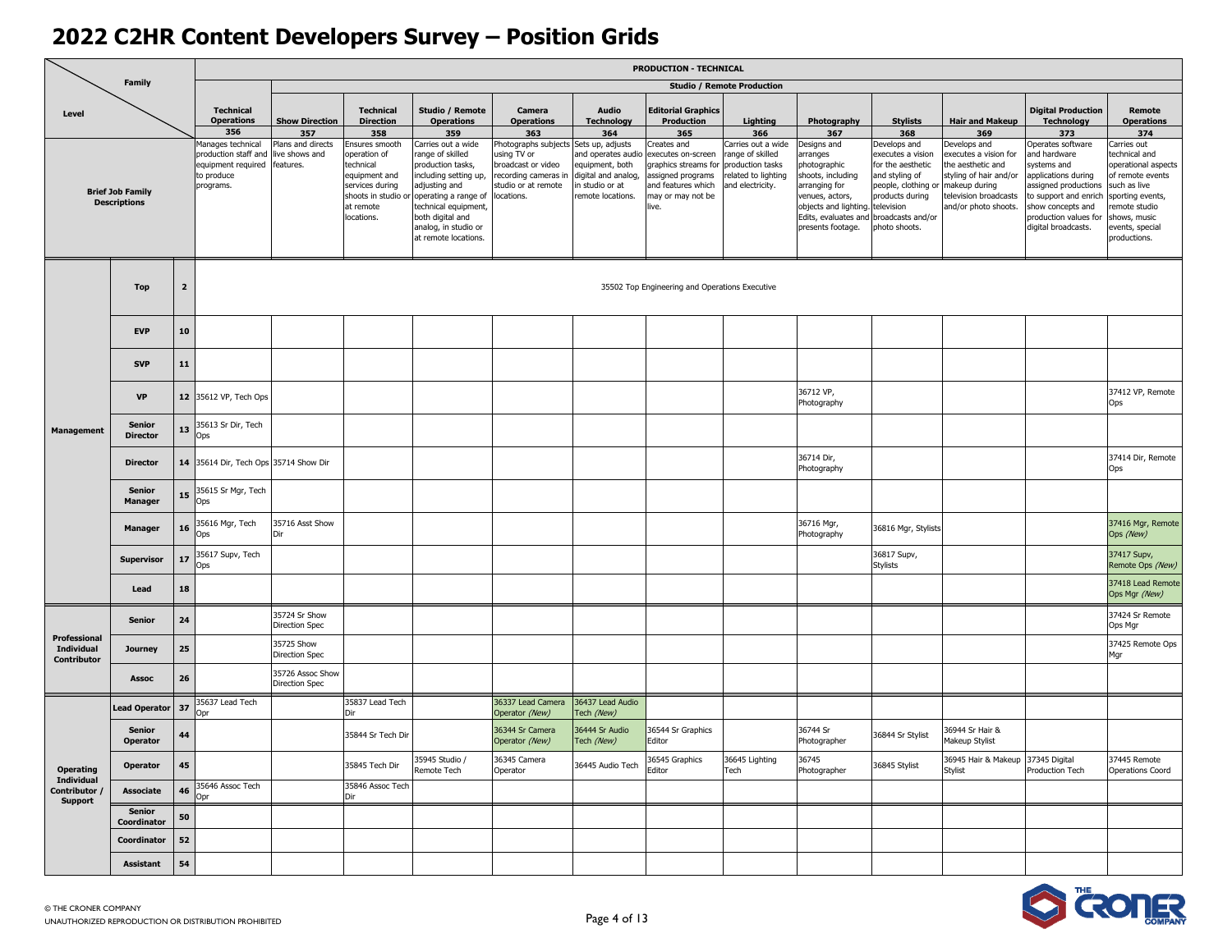| <b>Family</b>                    |                                                |                         |                                                                                                      |                                     |                                                                                                                                   |                                                                                                                                                                                                                           | <b>PRODUCTION - TECHNICAL</b>                                                                                                           |                                                                                                     |                                                                                                                                                     |                                                                                   |                                                                                                                                                                               |                                                                                                                                                                                      |                                                                                                                                      |                                                                                                                                                                                               |                                                                                                                                                                                |
|----------------------------------|------------------------------------------------|-------------------------|------------------------------------------------------------------------------------------------------|-------------------------------------|-----------------------------------------------------------------------------------------------------------------------------------|---------------------------------------------------------------------------------------------------------------------------------------------------------------------------------------------------------------------------|-----------------------------------------------------------------------------------------------------------------------------------------|-----------------------------------------------------------------------------------------------------|-----------------------------------------------------------------------------------------------------------------------------------------------------|-----------------------------------------------------------------------------------|-------------------------------------------------------------------------------------------------------------------------------------------------------------------------------|--------------------------------------------------------------------------------------------------------------------------------------------------------------------------------------|--------------------------------------------------------------------------------------------------------------------------------------|-----------------------------------------------------------------------------------------------------------------------------------------------------------------------------------------------|--------------------------------------------------------------------------------------------------------------------------------------------------------------------------------|
|                                  |                                                |                         |                                                                                                      |                                     |                                                                                                                                   |                                                                                                                                                                                                                           |                                                                                                                                         |                                                                                                     |                                                                                                                                                     | <b>Studio / Remote Production</b>                                                 |                                                                                                                                                                               |                                                                                                                                                                                      |                                                                                                                                      |                                                                                                                                                                                               |                                                                                                                                                                                |
| Level                            |                                                |                         | <b>Technical</b><br><b>Operations</b>                                                                | <b>Show Direction</b>               | <b>Technical</b><br><b>Direction</b>                                                                                              | Studio / Remote<br><b>Operations</b>                                                                                                                                                                                      | Camera<br><b>Operations</b>                                                                                                             | Audio<br><b>Technology</b>                                                                          | <b>Editorial Graphics</b><br>Production                                                                                                             | Lighting                                                                          | Photography                                                                                                                                                                   | <b>Stylists</b>                                                                                                                                                                      | <b>Hair and Makeup</b>                                                                                                               | <b>Digital Production</b><br><b>Technology</b>                                                                                                                                                | Remote<br><b>Operations</b>                                                                                                                                                    |
|                                  |                                                |                         | 356                                                                                                  | 357                                 | 358                                                                                                                               | 359                                                                                                                                                                                                                       | 363                                                                                                                                     | 364                                                                                                 | 365                                                                                                                                                 | 366                                                                               | 367                                                                                                                                                                           | 368                                                                                                                                                                                  | 369                                                                                                                                  | 373                                                                                                                                                                                           | 374                                                                                                                                                                            |
|                                  | <b>Brief Job Family</b><br><b>Descriptions</b> |                         | Manages technical<br>production staff and<br>equipment required features.<br>to produce<br>programs. | Plans and directs<br>live shows and | Ensures smooth<br>operation of<br>technical<br>equipment and<br>services during<br>shoots in studio or<br>at remote<br>locations. | Carries out a wide<br>range of skilled<br>production tasks,<br>including setting up,<br>adjusting and<br>operating a range of<br>technical equipment,<br>both digital and<br>analog, in studio or<br>at remote locations. | Photographs subjects Sets up, adjusts<br>using TV or<br>broadcast or video<br>recording cameras in<br>studio or at remote<br>locations. | and operates audio<br>equipment, both<br>digital and analog,<br>n studio or at<br>remote locations. | Creates and<br>executes on-screen<br>graphics streams for production tasks<br>assigned programs<br>and features which<br>may or may not be<br>live. | Carries out a wide<br>range of skilled<br>related to lighting<br>and electricity. | Designs and<br><b>irranges</b><br>photographic<br>shoots, including<br>arranging for<br>venues, actors,<br>objects and lighting.<br>Edits, evaluates and<br>presents footage. | Develops and<br>executes a vision<br>for the aesthetic<br>and styling of<br>people, clothing or makeup during<br>products during<br>television<br>broadcasts and/or<br>photo shoots. | Develops and<br>executes a vision for<br>he aesthetic and<br>styling of hair and/or<br>television broadcasts<br>and/or photo shoots. | Operates software<br>and hardware<br>systems and<br>applications during<br>assigned productions<br>to support and enrich<br>show concepts and<br>production values for<br>digital broadcasts. | Carries out<br>technical and<br>operational aspects<br>of remote events<br>such as live<br>sporting events,<br>emote studio<br>shows, music<br>events, special<br>productions. |
|                                  | <b>Top</b>                                     | $\overline{\mathbf{2}}$ |                                                                                                      |                                     |                                                                                                                                   |                                                                                                                                                                                                                           |                                                                                                                                         |                                                                                                     | 35502 Top Engineering and Operations Executive                                                                                                      |                                                                                   |                                                                                                                                                                               |                                                                                                                                                                                      |                                                                                                                                      |                                                                                                                                                                                               |                                                                                                                                                                                |
|                                  | <b>EVP</b>                                     | 10                      |                                                                                                      |                                     |                                                                                                                                   |                                                                                                                                                                                                                           |                                                                                                                                         |                                                                                                     |                                                                                                                                                     |                                                                                   |                                                                                                                                                                               |                                                                                                                                                                                      |                                                                                                                                      |                                                                                                                                                                                               |                                                                                                                                                                                |
| Management                       | <b>SVP</b>                                     | 11                      |                                                                                                      |                                     |                                                                                                                                   |                                                                                                                                                                                                                           |                                                                                                                                         |                                                                                                     |                                                                                                                                                     |                                                                                   |                                                                                                                                                                               |                                                                                                                                                                                      |                                                                                                                                      |                                                                                                                                                                                               |                                                                                                                                                                                |
|                                  | <b>VP</b>                                      |                         | 12 35612 VP, Tech Ops                                                                                |                                     |                                                                                                                                   |                                                                                                                                                                                                                           |                                                                                                                                         |                                                                                                     |                                                                                                                                                     |                                                                                   | 36712 VP,<br>Photography                                                                                                                                                      |                                                                                                                                                                                      |                                                                                                                                      |                                                                                                                                                                                               | 37412 VP, Remote<br>Ops                                                                                                                                                        |
|                                  | <b>Senior</b><br><b>Director</b>               | 13                      | 35613 Sr Dir, Tech<br>Ops                                                                            |                                     |                                                                                                                                   |                                                                                                                                                                                                                           |                                                                                                                                         |                                                                                                     |                                                                                                                                                     |                                                                                   |                                                                                                                                                                               |                                                                                                                                                                                      |                                                                                                                                      |                                                                                                                                                                                               |                                                                                                                                                                                |
|                                  | <b>Director</b>                                |                         | 14 35614 Dir, Tech Ops 35714 Show Dir                                                                |                                     |                                                                                                                                   |                                                                                                                                                                                                                           |                                                                                                                                         |                                                                                                     |                                                                                                                                                     |                                                                                   | 36714 Dir,<br>Photography                                                                                                                                                     |                                                                                                                                                                                      |                                                                                                                                      |                                                                                                                                                                                               | 37414 Dir, Remote<br>Ops                                                                                                                                                       |
|                                  | <b>Senior</b><br><b>Manager</b>                | 15                      | 35615 Sr Mgr, Tech<br>Ops                                                                            |                                     |                                                                                                                                   |                                                                                                                                                                                                                           |                                                                                                                                         |                                                                                                     |                                                                                                                                                     |                                                                                   |                                                                                                                                                                               |                                                                                                                                                                                      |                                                                                                                                      |                                                                                                                                                                                               |                                                                                                                                                                                |
|                                  | <b>Manager</b>                                 | 16                      | 35616 Mgr, Tech<br>Ops                                                                               | 35716 Asst Show<br>Dir              |                                                                                                                                   |                                                                                                                                                                                                                           |                                                                                                                                         |                                                                                                     |                                                                                                                                                     |                                                                                   | 36716 Mgr,<br>Photography                                                                                                                                                     | 36816 Mgr, Stylists                                                                                                                                                                  |                                                                                                                                      |                                                                                                                                                                                               | 37416 Mgr, Remote<br>Ops (New)                                                                                                                                                 |
|                                  | <b>Supervisor</b>                              | 17                      | 35617 Supv, Tech<br>Ops                                                                              |                                     |                                                                                                                                   |                                                                                                                                                                                                                           |                                                                                                                                         |                                                                                                     |                                                                                                                                                     |                                                                                   |                                                                                                                                                                               | 36817 Supv,<br><b>Stylists</b>                                                                                                                                                       |                                                                                                                                      |                                                                                                                                                                                               | 37417 Supv,<br>Remote Ops (New)                                                                                                                                                |
|                                  | Lead                                           | 18                      |                                                                                                      |                                     |                                                                                                                                   |                                                                                                                                                                                                                           |                                                                                                                                         |                                                                                                     |                                                                                                                                                     |                                                                                   |                                                                                                                                                                               |                                                                                                                                                                                      |                                                                                                                                      |                                                                                                                                                                                               | 37418 Lead Remote<br>Ops Mgr (New)                                                                                                                                             |
| Professional                     | <b>Senior</b>                                  | 24                      |                                                                                                      | 35724 Sr Show<br>Direction Spec     |                                                                                                                                   |                                                                                                                                                                                                                           |                                                                                                                                         |                                                                                                     |                                                                                                                                                     |                                                                                   |                                                                                                                                                                               |                                                                                                                                                                                      |                                                                                                                                      |                                                                                                                                                                                               | 37424 Sr Remote<br>Ops Mgr                                                                                                                                                     |
| <b>Individual</b><br>Contributor | <b>Journey</b>                                 | 25                      |                                                                                                      | 35725 Show<br>Direction Spec        |                                                                                                                                   |                                                                                                                                                                                                                           |                                                                                                                                         |                                                                                                     |                                                                                                                                                     |                                                                                   |                                                                                                                                                                               |                                                                                                                                                                                      |                                                                                                                                      |                                                                                                                                                                                               | 37425 Remote Ops<br>Mgr                                                                                                                                                        |
|                                  | <b>Assoc</b>                                   | 26                      |                                                                                                      | 35726 Assoc Show<br>Direction Spec  |                                                                                                                                   |                                                                                                                                                                                                                           |                                                                                                                                         |                                                                                                     |                                                                                                                                                     |                                                                                   |                                                                                                                                                                               |                                                                                                                                                                                      |                                                                                                                                      |                                                                                                                                                                                               |                                                                                                                                                                                |
|                                  | <b>Lead Operator</b>                           | 37                      | 35637 Lead Tech<br>Opr                                                                               |                                     | 35837 Lead Tech<br>Dir                                                                                                            |                                                                                                                                                                                                                           | 36337 Lead Camera<br>Operator (New)                                                                                                     | 36437 Lead Audio<br>Tech (New)                                                                      |                                                                                                                                                     |                                                                                   |                                                                                                                                                                               |                                                                                                                                                                                      |                                                                                                                                      |                                                                                                                                                                                               |                                                                                                                                                                                |
|                                  | <b>Senior</b><br><b>Operator</b>               | 44                      |                                                                                                      |                                     | 35844 Sr Tech Dir                                                                                                                 |                                                                                                                                                                                                                           | 36344 Sr Camera<br>Operator (New)                                                                                                       | 36444 Sr Audio<br>Tech (New)                                                                        | 36544 Sr Graphics<br>Editor                                                                                                                         |                                                                                   | 36744 Sr<br>Photographer                                                                                                                                                      | 36844 Sr Stylist                                                                                                                                                                     | 36944 Sr Hair &<br>Makeup Stylist                                                                                                    |                                                                                                                                                                                               |                                                                                                                                                                                |
| <b>Operating</b><br>Individual   | Operator                                       | 45                      | 35646 Assoc Tech                                                                                     |                                     | 35845 Tech Dir<br>35846 Assoc Tech                                                                                                | 35945 Studio /<br>Remote Tech                                                                                                                                                                                             | 36345 Camera<br>Operator                                                                                                                | 36445 Audio Tech                                                                                    | 36545 Graphics<br>Editor                                                                                                                            | 36645 Lighting<br>Tech                                                            | 36745<br>Photographer                                                                                                                                                         | 36845 Stylist                                                                                                                                                                        | 36945 Hair & Makeup 37345 Digital<br>Stylist                                                                                         | Production Tech                                                                                                                                                                               | 37445 Remote<br><b>Operations Coord</b>                                                                                                                                        |
| Contributor /<br>Support         | Associate<br><b>Senior</b>                     | 46<br>50                | Opr                                                                                                  |                                     | Dir                                                                                                                               |                                                                                                                                                                                                                           |                                                                                                                                         |                                                                                                     |                                                                                                                                                     |                                                                                   |                                                                                                                                                                               |                                                                                                                                                                                      |                                                                                                                                      |                                                                                                                                                                                               |                                                                                                                                                                                |
|                                  | Coordinator<br>Coordinator                     | 52                      |                                                                                                      |                                     |                                                                                                                                   |                                                                                                                                                                                                                           |                                                                                                                                         |                                                                                                     |                                                                                                                                                     |                                                                                   |                                                                                                                                                                               |                                                                                                                                                                                      |                                                                                                                                      |                                                                                                                                                                                               |                                                                                                                                                                                |
|                                  | Assistant                                      | 54                      |                                                                                                      |                                     |                                                                                                                                   |                                                                                                                                                                                                                           |                                                                                                                                         |                                                                                                     |                                                                                                                                                     |                                                                                   |                                                                                                                                                                               |                                                                                                                                                                                      |                                                                                                                                      |                                                                                                                                                                                               |                                                                                                                                                                                |

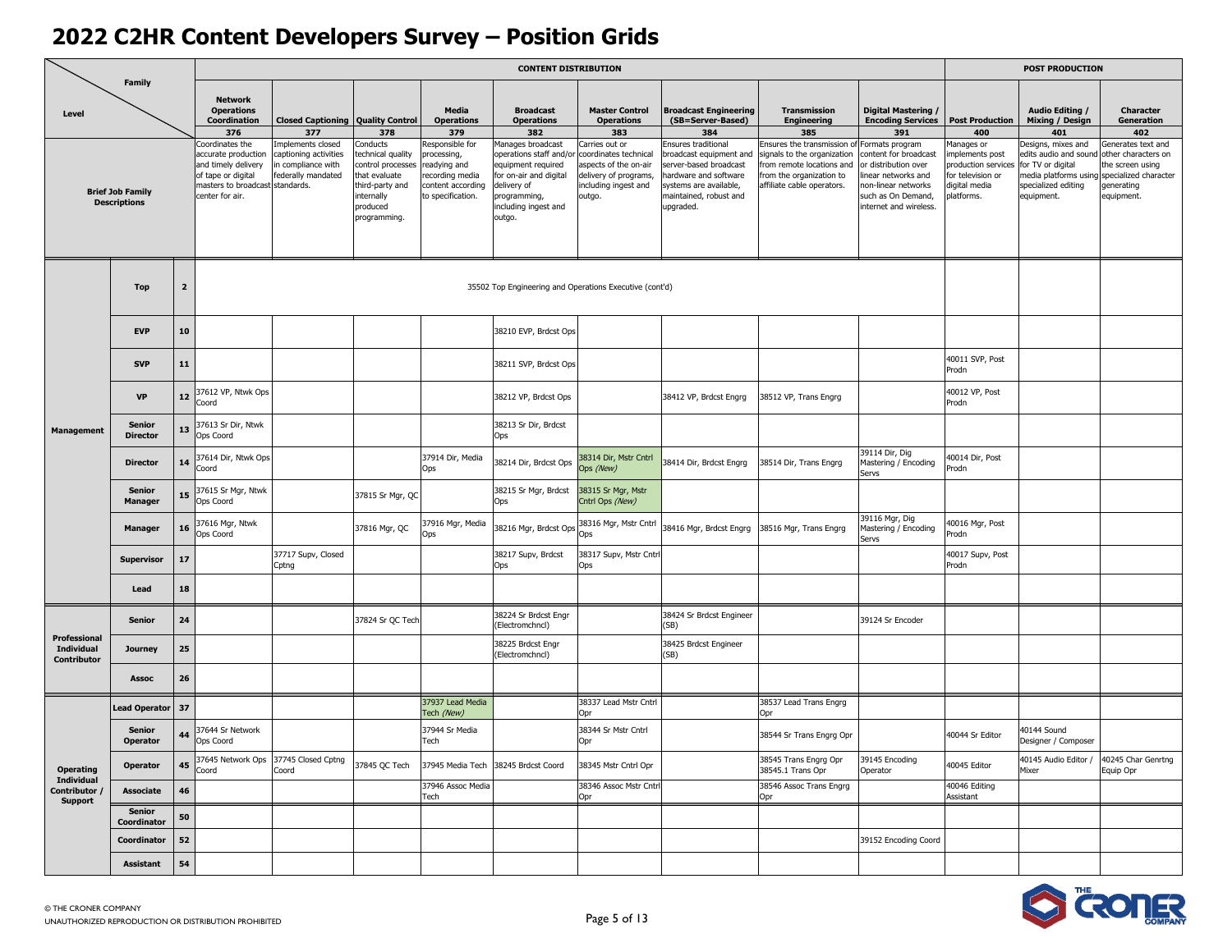|                                         |                                                |                |                                                                                                                                           |                                                                                      |                                                                                                                                  |                                                                                                             | <b>CONTENT DISTRIBUTION</b>                                                                                                                                   |                                                                                                                             |                                                                                                                                                                    |                                                                                                                                                |                                                                                                                                                               |                                                                                                         | <b>POST PRODUCTION</b>                                                                                                         |                                                                                                                    |
|-----------------------------------------|------------------------------------------------|----------------|-------------------------------------------------------------------------------------------------------------------------------------------|--------------------------------------------------------------------------------------|----------------------------------------------------------------------------------------------------------------------------------|-------------------------------------------------------------------------------------------------------------|---------------------------------------------------------------------------------------------------------------------------------------------------------------|-----------------------------------------------------------------------------------------------------------------------------|--------------------------------------------------------------------------------------------------------------------------------------------------------------------|------------------------------------------------------------------------------------------------------------------------------------------------|---------------------------------------------------------------------------------------------------------------------------------------------------------------|---------------------------------------------------------------------------------------------------------|--------------------------------------------------------------------------------------------------------------------------------|--------------------------------------------------------------------------------------------------------------------|
| Level                                   | <b>Family</b>                                  |                | <b>Network</b><br><b>Operations</b><br>Coordination<br>376                                                                                | <b>Closed Captioning Quality Control</b><br>377                                      | 378                                                                                                                              | Media<br><b>Operations</b><br>379                                                                           | <b>Broadcast</b><br><b>Operations</b><br>382                                                                                                                  | <b>Master Control</b><br><b>Operations</b><br>383                                                                           | <b>Broadcast Engineering</b><br>(SB=Server-Based)<br>384                                                                                                           | <b>Transmission</b><br><b>Engineering</b><br>385                                                                                               | Digital Mastering /<br><b>Encoding Services</b><br>391                                                                                                        | <b>Post Production</b><br>400                                                                           | Audio Editing /<br>Mixing / Design<br>401                                                                                      | <b>Character</b><br>Generation<br>402                                                                              |
|                                         | <b>Brief Job Family</b><br><b>Descriptions</b> |                | Coordinates the<br>accurate production<br>and timely delivery<br>of tape or digital<br>masters to broadcast standards.<br>center for air. | mplements closed<br>captioning activities<br>n compliance with<br>federally mandated | Conducts<br>technical quality<br>control processes<br>that evaluate<br>third-party and<br>internally<br>produced<br>programming. | Responsible for<br>processing,<br>readying and<br>recording media<br>content according<br>to specification. | Manages broadcast<br>operations staff and/or<br>equipment required<br>for on-air and digital<br>delivery of<br>programming,<br>including ingest and<br>outgo. | Carries out or<br>coordinates technical<br>aspects of the on-air<br>delivery of programs,<br>including ingest and<br>outgo. | Ensures traditional<br>broadcast equipment and<br>server-based broadcast<br>hardware and software<br>systems are available,<br>maintained, robust and<br>upgraded. | Ensures the transmission o<br>ignals to the organization<br>rom remote locations and<br>from the organization to<br>affiliate cable operators. | Formats program<br>content for broadcast<br>or distribution over<br>inear networks and<br>non-linear networks<br>such as On Demand,<br>internet and wireless. | Manages or<br>mplements post<br>production services<br>for television or<br>digital media<br>platforms. | Designs, mixes and<br>edits audio and sound<br>for TV or digital<br>media platforms using<br>specialized editing<br>equipment. | Generates text and<br>other characters on<br>the screen using<br>specialized character<br>generating<br>equipment. |
|                                         | <b>Top</b>                                     | $\overline{2}$ |                                                                                                                                           |                                                                                      |                                                                                                                                  |                                                                                                             | 35502 Top Engineering and Operations Executive (cont'd)                                                                                                       |                                                                                                                             |                                                                                                                                                                    |                                                                                                                                                |                                                                                                                                                               |                                                                                                         |                                                                                                                                |                                                                                                                    |
|                                         | <b>EVP</b>                                     | 10             |                                                                                                                                           |                                                                                      |                                                                                                                                  |                                                                                                             | 38210 EVP, Brdcst Ops                                                                                                                                         |                                                                                                                             |                                                                                                                                                                    |                                                                                                                                                |                                                                                                                                                               |                                                                                                         |                                                                                                                                |                                                                                                                    |
| <b>Management</b>                       | <b>SVP</b>                                     | 11             |                                                                                                                                           |                                                                                      |                                                                                                                                  |                                                                                                             | 38211 SVP, Brdcst Ops                                                                                                                                         |                                                                                                                             |                                                                                                                                                                    |                                                                                                                                                |                                                                                                                                                               | 40011 SVP, Post<br>Prodn                                                                                |                                                                                                                                |                                                                                                                    |
|                                         | <b>VP</b>                                      | 12             | 37612 VP, Ntwk Ops<br>Coord                                                                                                               |                                                                                      |                                                                                                                                  |                                                                                                             | 38212 VP, Brdcst Ops                                                                                                                                          |                                                                                                                             | 38412 VP, Brdcst Engrg                                                                                                                                             | 38512 VP, Trans Engrg                                                                                                                          |                                                                                                                                                               | 40012 VP, Post<br>Prodn                                                                                 |                                                                                                                                |                                                                                                                    |
|                                         | <b>Senior</b><br><b>Director</b>               | 13             | 37613 Sr Dir, Ntwk<br>Ops Coord                                                                                                           |                                                                                      |                                                                                                                                  |                                                                                                             | 38213 Sr Dir, Brdcst<br>Ops                                                                                                                                   |                                                                                                                             |                                                                                                                                                                    |                                                                                                                                                |                                                                                                                                                               |                                                                                                         |                                                                                                                                |                                                                                                                    |
|                                         | <b>Director</b>                                |                | 37614 Dir, Ntwk Ops<br>Coord                                                                                                              |                                                                                      |                                                                                                                                  | 37914 Dir, Media<br>Ops                                                                                     | 38214 Dir, Brdcst Ops                                                                                                                                         | 38314 Dir, Mstr Cntrl<br>Ops (New)                                                                                          | 38414 Dir, Brdcst Engrg                                                                                                                                            | 38514 Dir, Trans Engrg                                                                                                                         | 39114 Dir, Dig<br>Mastering / Encoding<br>Servs                                                                                                               | 40014 Dir, Post<br>Prodn                                                                                |                                                                                                                                |                                                                                                                    |
|                                         | <b>Senior</b><br><b>Manager</b>                | 15             | 37615 Sr Mgr, Ntwk<br>Ops Coord                                                                                                           |                                                                                      | 37815 Sr Mgr, QC                                                                                                                 |                                                                                                             | 38215 Sr Mgr, Brdcst<br>Ops                                                                                                                                   | 38315 Sr Mgr, Mstr<br>Cntrl Ops (New)                                                                                       |                                                                                                                                                                    |                                                                                                                                                |                                                                                                                                                               |                                                                                                         |                                                                                                                                |                                                                                                                    |
|                                         | <b>Manager</b>                                 | 16             | 37616 Mgr, Ntwk<br>Ops Coord                                                                                                              |                                                                                      | 37816 Mgr, QC                                                                                                                    | 37916 Mgr, Media<br>Ops                                                                                     | 38216 Mgr, Brdcst Ops                                                                                                                                         | 38316 Mgr, Mstr Cntrl<br>Ops                                                                                                | 38416 Mgr, Brdcst Engrg                                                                                                                                            | 38516 Mgr, Trans Engrg                                                                                                                         | 39116 Mgr, Dig<br>Mastering / Encoding<br>Servs                                                                                                               | 40016 Mgr, Post<br>Prodn                                                                                |                                                                                                                                |                                                                                                                    |
|                                         | <b>Supervisor</b>                              | 17             |                                                                                                                                           | 37717 Supv, Closed<br>Cptng                                                          |                                                                                                                                  |                                                                                                             | 38217 Supv, Brdcst<br>Ops                                                                                                                                     | 38317 Supv, Mstr Cntrl<br>Ops                                                                                               |                                                                                                                                                                    |                                                                                                                                                |                                                                                                                                                               | 40017 Supv, Post<br>Prodn                                                                               |                                                                                                                                |                                                                                                                    |
|                                         | Lead                                           | 18             |                                                                                                                                           |                                                                                      |                                                                                                                                  |                                                                                                             |                                                                                                                                                               |                                                                                                                             |                                                                                                                                                                    |                                                                                                                                                |                                                                                                                                                               |                                                                                                         |                                                                                                                                |                                                                                                                    |
| Professional                            | <b>Senior</b>                                  | 24             |                                                                                                                                           |                                                                                      | 37824 Sr QC Tech                                                                                                                 |                                                                                                             | 38224 Sr Brdcst Engr<br>(Electromchncl)                                                                                                                       |                                                                                                                             | 38424 Sr Brdcst Engineer<br>(SB)                                                                                                                                   |                                                                                                                                                | 39124 Sr Encoder                                                                                                                                              |                                                                                                         |                                                                                                                                |                                                                                                                    |
| <b>Individual</b><br><b>Contributor</b> | <b>Journey</b>                                 | 25             |                                                                                                                                           |                                                                                      |                                                                                                                                  |                                                                                                             | 38225 Brdcst Engr<br>(Electromchncl)                                                                                                                          |                                                                                                                             | 38425 Brdcst Engineer<br>(SB)                                                                                                                                      |                                                                                                                                                |                                                                                                                                                               |                                                                                                         |                                                                                                                                |                                                                                                                    |
|                                         | <b>Assoc</b>                                   | 26             |                                                                                                                                           |                                                                                      |                                                                                                                                  |                                                                                                             |                                                                                                                                                               |                                                                                                                             |                                                                                                                                                                    |                                                                                                                                                |                                                                                                                                                               |                                                                                                         |                                                                                                                                |                                                                                                                    |
|                                         | <b>Lead Operator</b>                           | 37             |                                                                                                                                           |                                                                                      |                                                                                                                                  | 37937 Lead Media<br>Tech (New)                                                                              |                                                                                                                                                               | 38337 Lead Mstr Cntrl<br>Opr                                                                                                |                                                                                                                                                                    | 38537 Lead Trans Engrg<br>Opr                                                                                                                  |                                                                                                                                                               |                                                                                                         |                                                                                                                                |                                                                                                                    |
|                                         | <b>Senior</b><br>Operator                      |                | 7644 Sr Network<br>Ops Coord                                                                                                              |                                                                                      |                                                                                                                                  | 37944 Sr Media<br>Tech                                                                                      |                                                                                                                                                               | 38344 Sr Mstr Cntrl<br>Opr                                                                                                  |                                                                                                                                                                    | 38544 Sr Trans Engrg Opr                                                                                                                       |                                                                                                                                                               | 40044 Sr Editor                                                                                         | 40144 Sound<br>Designer / Composer                                                                                             |                                                                                                                    |
| <b>Operating</b><br>Individual          | Operator                                       | 45             | Coord                                                                                                                                     | 37645 Network Ops 37745 Closed Cptng<br>Coord                                        | 37845 QC Tech                                                                                                                    | 37946 Assoc Media                                                                                           | 37945 Media Tech 38245 Brdcst Coord                                                                                                                           | 38345 Mstr Cntrl Opr<br>38346 Assoc Mstr Cntrl                                                                              |                                                                                                                                                                    | 38545 Trans Engrg Opr<br>38545.1 Trans Opr<br>38546 Assoc Trans Engrg                                                                          | 39145 Encoding<br>Operator                                                                                                                                    | 40045 Editor                                                                                            | 40145 Audio Editor /<br>Mixer                                                                                                  | 40245 Char Genrtng<br>Equip Opr                                                                                    |
| Contributor /<br>Support                | Associate                                      | 46             |                                                                                                                                           |                                                                                      |                                                                                                                                  | Tech                                                                                                        |                                                                                                                                                               | Opr                                                                                                                         |                                                                                                                                                                    | Opr                                                                                                                                            |                                                                                                                                                               | 40046 Editing<br>Assistant                                                                              |                                                                                                                                |                                                                                                                    |
|                                         | <b>Senior</b><br>Coordinator                   | 50             |                                                                                                                                           |                                                                                      |                                                                                                                                  |                                                                                                             |                                                                                                                                                               |                                                                                                                             |                                                                                                                                                                    |                                                                                                                                                |                                                                                                                                                               |                                                                                                         |                                                                                                                                |                                                                                                                    |
|                                         | Coordinator                                    | 52             |                                                                                                                                           |                                                                                      |                                                                                                                                  |                                                                                                             |                                                                                                                                                               |                                                                                                                             |                                                                                                                                                                    |                                                                                                                                                | 39152 Encoding Coord                                                                                                                                          |                                                                                                         |                                                                                                                                |                                                                                                                    |
|                                         | Assistant                                      | 54             |                                                                                                                                           |                                                                                      |                                                                                                                                  |                                                                                                             |                                                                                                                                                               |                                                                                                                             |                                                                                                                                                                    |                                                                                                                                                |                                                                                                                                                               |                                                                                                         |                                                                                                                                |                                                                                                                    |

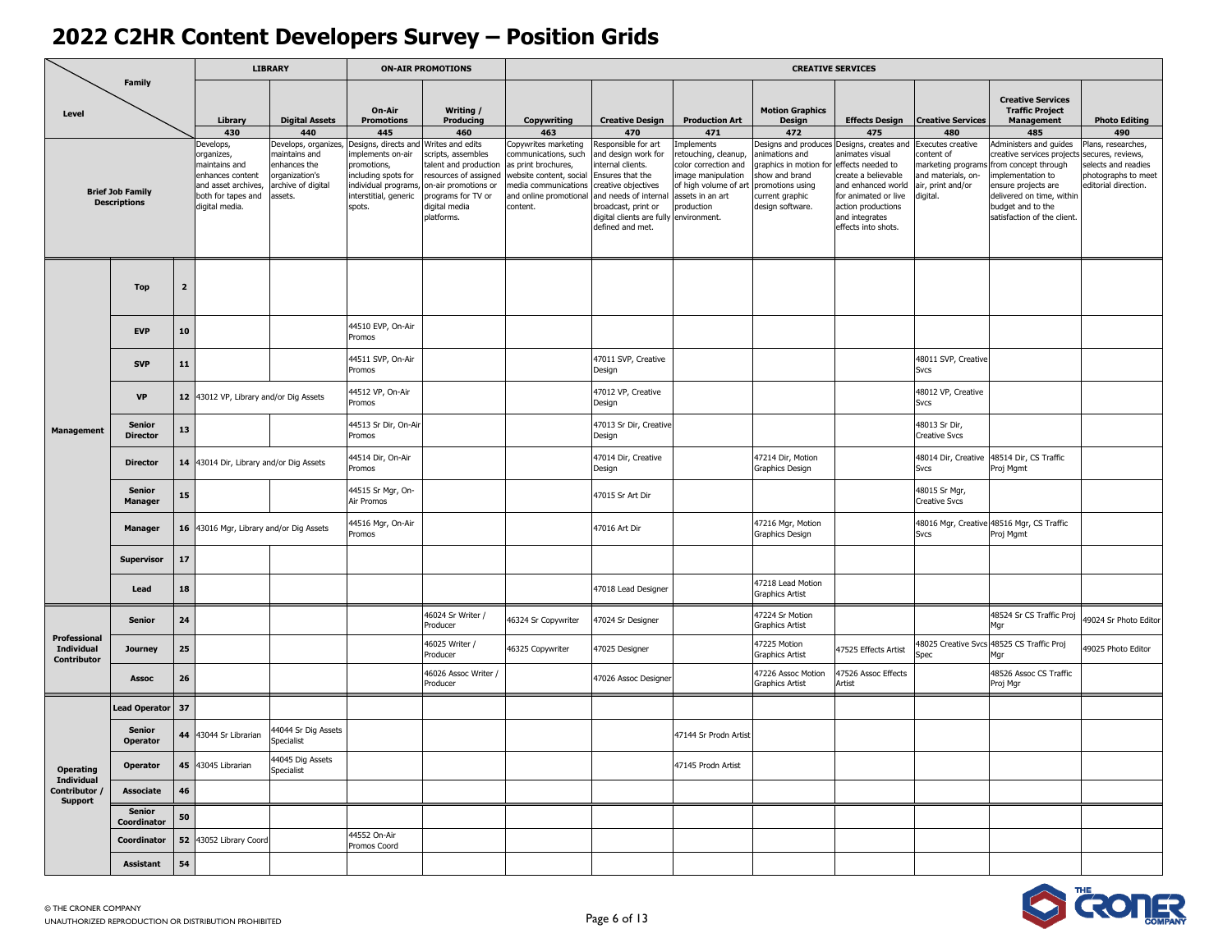|                                                  |                                                |                |                                                                                                                            | <b>LIBRARY</b>                                                                                        |                                                                                                                                           | <b>ON-AIR PROMOTIONS</b>                                                                                                                                           |                                                                                                                                                             |                                                                                                                                                                                                                         |                                                                                                                                          |                                                                                                                                            | <b>CREATIVE SERVICES</b>                                                                                                                                                                       |                                                                                                             |                                                                                                                                                                                                     |                                                                                                             |
|--------------------------------------------------|------------------------------------------------|----------------|----------------------------------------------------------------------------------------------------------------------------|-------------------------------------------------------------------------------------------------------|-------------------------------------------------------------------------------------------------------------------------------------------|--------------------------------------------------------------------------------------------------------------------------------------------------------------------|-------------------------------------------------------------------------------------------------------------------------------------------------------------|-------------------------------------------------------------------------------------------------------------------------------------------------------------------------------------------------------------------------|------------------------------------------------------------------------------------------------------------------------------------------|--------------------------------------------------------------------------------------------------------------------------------------------|------------------------------------------------------------------------------------------------------------------------------------------------------------------------------------------------|-------------------------------------------------------------------------------------------------------------|-----------------------------------------------------------------------------------------------------------------------------------------------------------------------------------------------------|-------------------------------------------------------------------------------------------------------------|
| Level                                            | Family                                         |                | Library<br>430                                                                                                             | <b>Digital Assets</b><br>440                                                                          | On-Air<br><b>Promotions</b><br>445                                                                                                        | Writing /<br>Producing<br>460                                                                                                                                      | Copywriting<br>463                                                                                                                                          | <b>Creative Design</b><br>470                                                                                                                                                                                           | <b>Production Art</b><br>471                                                                                                             | <b>Motion Graphics</b><br>Design<br>472                                                                                                    | <b>Effects Design</b><br>475                                                                                                                                                                   | <b>Creative Services</b><br>480                                                                             | <b>Creative Services</b><br><b>Traffic Project</b><br><b>Management</b><br>485                                                                                                                      | <b>Photo Editing</b><br>490                                                                                 |
|                                                  | <b>Brief Job Family</b><br><b>Descriptions</b> |                | evelops,<br>organizes,<br>maintains and<br>enhances content<br>and asset archives,<br>both for tapes and<br>digital media. | Develops, organizes<br>naintains and<br>nhances the<br>prganization's<br>archive of digital<br>ssets. | Designs, directs and<br>mplements on-air<br>promotions,<br>including spots for<br>individual programs,<br>interstitial, generic<br>spots. | Writes and edits<br>cripts, assembles<br>alent and production<br>esources of assigned<br>on-air promotions or<br>programs for TV or<br>digital media<br>platforms. | opywrites marketing<br>communications, such<br>is print brochures,<br>vebsite content, social<br>nedia communications<br>and online promotional<br>content. | Responsible for art<br>and design work for<br>nternal clients.<br>Ensures that the<br>creative objectives<br>and needs of internal<br>broadcast, print or<br>digital clients are fully environment.<br>defined and met. | mplements<br>etouching, cleanup,<br>color correction and<br>mage manipulation<br>of high volume of art<br>assets in an art<br>production | esigns and produces<br>nimations and<br>raphics in motion for<br>show and brand<br>promotions using<br>current graphic<br>design software. | Designs, creates and<br>nimates visual<br>effects needed to<br>reate a believable<br>and enhanced world<br>for animated or live<br>action productions<br>and integrates<br>effects into shots. | Executes creative<br>ontent of<br>narketing programs<br>and materials, on-<br>air, print and/or<br>digital. | Administers and guides<br>eative services project<br>rom concept through<br>nplementation to<br>nsure projects are<br>delivered on time, within<br>budget and to the<br>satisfaction of the client. | Plans, researches,<br>ecures, reviews,<br>elects and readies<br>photographs to meet<br>editorial direction. |
|                                                  | <b>Top</b>                                     | $\overline{2}$ |                                                                                                                            |                                                                                                       |                                                                                                                                           |                                                                                                                                                                    |                                                                                                                                                             |                                                                                                                                                                                                                         |                                                                                                                                          |                                                                                                                                            |                                                                                                                                                                                                |                                                                                                             |                                                                                                                                                                                                     |                                                                                                             |
|                                                  | <b>EVP</b>                                     | 10             |                                                                                                                            |                                                                                                       | 44510 EVP, On-Air<br>Promos                                                                                                               |                                                                                                                                                                    |                                                                                                                                                             |                                                                                                                                                                                                                         |                                                                                                                                          |                                                                                                                                            |                                                                                                                                                                                                |                                                                                                             |                                                                                                                                                                                                     |                                                                                                             |
| <b>Management</b>                                | <b>SVP</b>                                     | 11             |                                                                                                                            |                                                                                                       | 44511 SVP, On-Air<br>Promos                                                                                                               |                                                                                                                                                                    |                                                                                                                                                             | 47011 SVP, Creative<br>Design                                                                                                                                                                                           |                                                                                                                                          |                                                                                                                                            |                                                                                                                                                                                                | 48011 SVP, Creative<br>Svcs                                                                                 |                                                                                                                                                                                                     |                                                                                                             |
|                                                  | <b>VP</b>                                      | 12             | 43012 VP, Library and/or Dig Assets                                                                                        |                                                                                                       | 44512 VP, On-Air<br>Promos                                                                                                                |                                                                                                                                                                    |                                                                                                                                                             | 47012 VP, Creative<br>Design                                                                                                                                                                                            |                                                                                                                                          |                                                                                                                                            |                                                                                                                                                                                                | 48012 VP, Creative<br>Svcs                                                                                  |                                                                                                                                                                                                     |                                                                                                             |
|                                                  | <b>Senior</b><br><b>Director</b>               | 13             |                                                                                                                            |                                                                                                       | 44513 Sr Dir, On-Ai<br>Promos                                                                                                             |                                                                                                                                                                    |                                                                                                                                                             | 47013 Sr Dir, Creative<br>Design                                                                                                                                                                                        |                                                                                                                                          |                                                                                                                                            |                                                                                                                                                                                                | 48013 Sr Dir,<br><b>Creative Svcs</b>                                                                       |                                                                                                                                                                                                     |                                                                                                             |
|                                                  | <b>Director</b>                                | 14             | 43014 Dir, Library and/or Dig Assets                                                                                       |                                                                                                       | 44514 Dir, On-Air<br>Promos                                                                                                               |                                                                                                                                                                    |                                                                                                                                                             | 47014 Dir, Creative<br>Design                                                                                                                                                                                           |                                                                                                                                          | 47214 Dir, Motion<br>Graphics Design                                                                                                       |                                                                                                                                                                                                | 48014 Dir, Creative<br>Svcs                                                                                 | 48514 Dir, CS Traffic<br>Proj Mgmt                                                                                                                                                                  |                                                                                                             |
|                                                  | <b>Senior</b><br>Manager                       | ${\bf 15}$     |                                                                                                                            |                                                                                                       | 44515 Sr Mgr, On-<br>Air Promos                                                                                                           |                                                                                                                                                                    |                                                                                                                                                             | 47015 Sr Art Dir                                                                                                                                                                                                        |                                                                                                                                          |                                                                                                                                            |                                                                                                                                                                                                | 48015 Sr Mgr,<br><b>Creative Svcs</b>                                                                       |                                                                                                                                                                                                     |                                                                                                             |
|                                                  | <b>Manager</b>                                 | ${\bf 16}$     | 43016 Mgr, Library and/or Dig Assets                                                                                       |                                                                                                       | 44516 Mgr, On-Air<br>Promos                                                                                                               |                                                                                                                                                                    |                                                                                                                                                             | 47016 Art Dir                                                                                                                                                                                                           |                                                                                                                                          | 47216 Mgr, Motion<br>Graphics Design                                                                                                       |                                                                                                                                                                                                | Svcs                                                                                                        | 48016 Mgr, Creative 48516 Mgr, CS Traffic<br>Proj Mgmt                                                                                                                                              |                                                                                                             |
|                                                  | Supervisor                                     | $17\,$         |                                                                                                                            |                                                                                                       |                                                                                                                                           |                                                                                                                                                                    |                                                                                                                                                             |                                                                                                                                                                                                                         |                                                                                                                                          |                                                                                                                                            |                                                                                                                                                                                                |                                                                                                             |                                                                                                                                                                                                     |                                                                                                             |
|                                                  | Lead                                           | 18             |                                                                                                                            |                                                                                                       |                                                                                                                                           |                                                                                                                                                                    |                                                                                                                                                             | 47018 Lead Designer                                                                                                                                                                                                     |                                                                                                                                          | 47218 Lead Motion<br>Graphics Artist                                                                                                       |                                                                                                                                                                                                |                                                                                                             |                                                                                                                                                                                                     |                                                                                                             |
|                                                  | <b>Senior</b>                                  | 24             |                                                                                                                            |                                                                                                       |                                                                                                                                           | 46024 Sr Writer /<br>Producer                                                                                                                                      | 46324 Sr Copywriter                                                                                                                                         | 47024 Sr Designer                                                                                                                                                                                                       |                                                                                                                                          | 47224 Sr Motion<br>Graphics Artist                                                                                                         |                                                                                                                                                                                                |                                                                                                             | 48524 Sr CS Traffic Proj<br>Mar                                                                                                                                                                     | 49024 Sr Photo Editor                                                                                       |
| Professional<br><b>Individual</b><br>Contributor | <b>Journey</b>                                 | 25             |                                                                                                                            |                                                                                                       |                                                                                                                                           | 46025 Writer /<br>Producer                                                                                                                                         | 46325 Copywriter                                                                                                                                            | 47025 Designer                                                                                                                                                                                                          |                                                                                                                                          | 17225 Motion<br>Graphics Artist                                                                                                            | 47525 Effects Artist                                                                                                                                                                           | 48025 Creative Svcs<br>Spec                                                                                 | 48525 CS Traffic Proj                                                                                                                                                                               | 49025 Photo Editor                                                                                          |
|                                                  | <b>Assoc</b>                                   | 26             |                                                                                                                            |                                                                                                       |                                                                                                                                           | 46026 Assoc Writer /<br>Producer                                                                                                                                   |                                                                                                                                                             | 47026 Assoc Designer                                                                                                                                                                                                    |                                                                                                                                          | 47226 Assoc Motion<br>Graphics Artist                                                                                                      | 17526 Assoc Effects<br>Artist                                                                                                                                                                  |                                                                                                             | 48526 Assoc CS Traffic<br>Proj Mgr                                                                                                                                                                  |                                                                                                             |
|                                                  | <b>Lead Operator</b>                           | 37             |                                                                                                                            |                                                                                                       |                                                                                                                                           |                                                                                                                                                                    |                                                                                                                                                             |                                                                                                                                                                                                                         |                                                                                                                                          |                                                                                                                                            |                                                                                                                                                                                                |                                                                                                             |                                                                                                                                                                                                     |                                                                                                             |
|                                                  | <b>Senior</b><br>Operator                      | 44             | 43044 Sr Librarian                                                                                                         | 44044 Sr Dig Assets<br>Specialist                                                                     |                                                                                                                                           |                                                                                                                                                                    |                                                                                                                                                             |                                                                                                                                                                                                                         | 47144 Sr Prodn Artist                                                                                                                    |                                                                                                                                            |                                                                                                                                                                                                |                                                                                                             |                                                                                                                                                                                                     |                                                                                                             |
| <b>Operating</b><br><b>Individual</b>            | Operator                                       | 45             | 43045 Librarian                                                                                                            | 44045 Dig Assets<br><b>Specialist</b>                                                                 |                                                                                                                                           |                                                                                                                                                                    |                                                                                                                                                             |                                                                                                                                                                                                                         | 47145 Prodn Artist                                                                                                                       |                                                                                                                                            |                                                                                                                                                                                                |                                                                                                             |                                                                                                                                                                                                     |                                                                                                             |
| Contributor<br><b>Support</b>                    | Associate                                      | 46             |                                                                                                                            |                                                                                                       |                                                                                                                                           |                                                                                                                                                                    |                                                                                                                                                             |                                                                                                                                                                                                                         |                                                                                                                                          |                                                                                                                                            |                                                                                                                                                                                                |                                                                                                             |                                                                                                                                                                                                     |                                                                                                             |
|                                                  | <b>Senior</b><br>Coordinator                   | 50             |                                                                                                                            |                                                                                                       |                                                                                                                                           |                                                                                                                                                                    |                                                                                                                                                             |                                                                                                                                                                                                                         |                                                                                                                                          |                                                                                                                                            |                                                                                                                                                                                                |                                                                                                             |                                                                                                                                                                                                     |                                                                                                             |
|                                                  | Coordinator                                    | 52             | 43052 Library Coord                                                                                                        |                                                                                                       | 44552 On-Air<br>Promos Coord                                                                                                              |                                                                                                                                                                    |                                                                                                                                                             |                                                                                                                                                                                                                         |                                                                                                                                          |                                                                                                                                            |                                                                                                                                                                                                |                                                                                                             |                                                                                                                                                                                                     |                                                                                                             |
|                                                  | Assistant                                      | 54             |                                                                                                                            |                                                                                                       |                                                                                                                                           |                                                                                                                                                                    |                                                                                                                                                             |                                                                                                                                                                                                                         |                                                                                                                                          |                                                                                                                                            |                                                                                                                                                                                                |                                                                                                             |                                                                                                                                                                                                     |                                                                                                             |

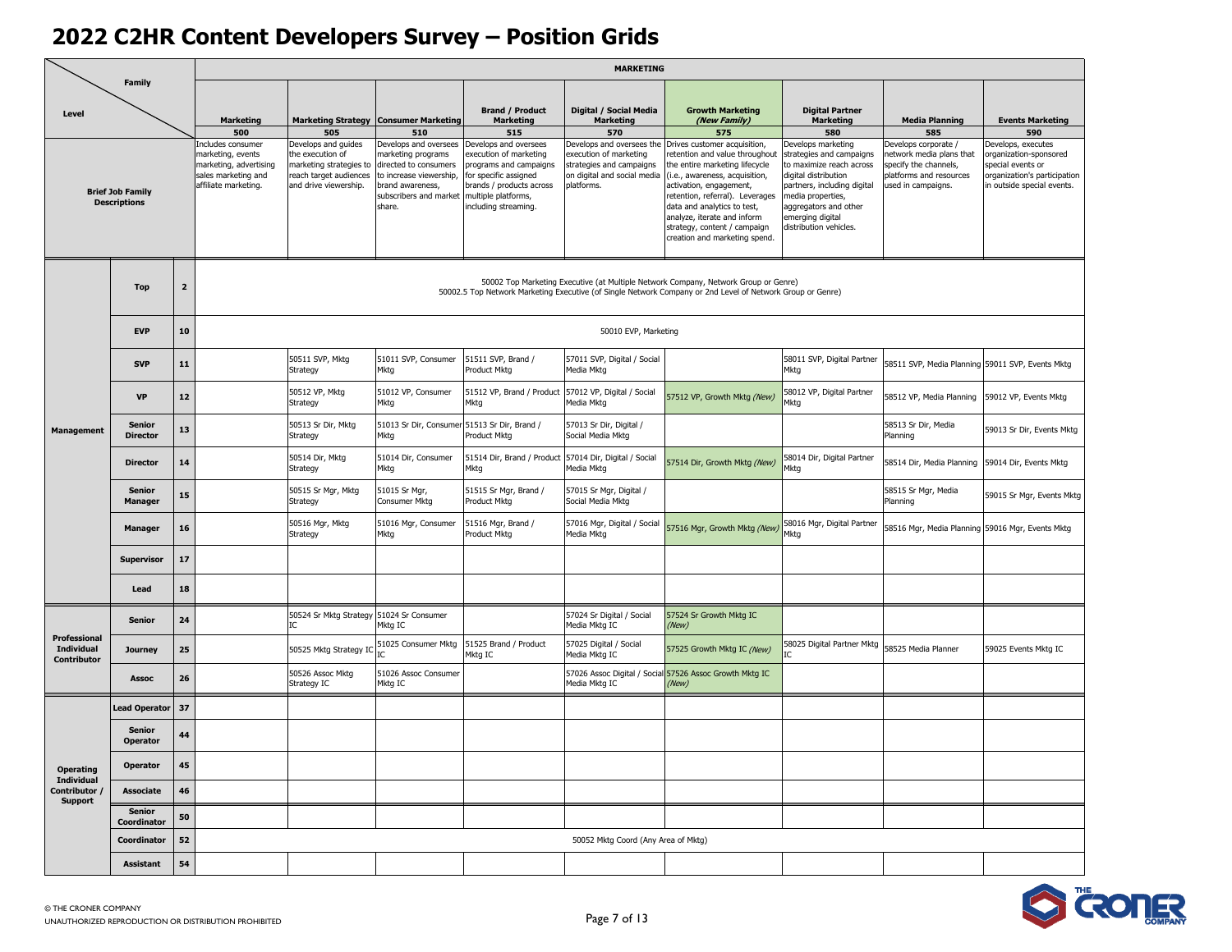|                                                  |                                                |                         |                                                                                                                 |                                                                                                                       |                                                                                                                                                         |                                                                                                                                                                               | <b>MARKETING</b>                                                                                                             |                                                                                                                                                                                                                                                                                                                                 |                                                                                                                                                                                                                               |                                                                                                                            |                                                                                                                                 |
|--------------------------------------------------|------------------------------------------------|-------------------------|-----------------------------------------------------------------------------------------------------------------|-----------------------------------------------------------------------------------------------------------------------|---------------------------------------------------------------------------------------------------------------------------------------------------------|-------------------------------------------------------------------------------------------------------------------------------------------------------------------------------|------------------------------------------------------------------------------------------------------------------------------|---------------------------------------------------------------------------------------------------------------------------------------------------------------------------------------------------------------------------------------------------------------------------------------------------------------------------------|-------------------------------------------------------------------------------------------------------------------------------------------------------------------------------------------------------------------------------|----------------------------------------------------------------------------------------------------------------------------|---------------------------------------------------------------------------------------------------------------------------------|
| Level                                            | Family                                         |                         | <b>Marketing</b><br>500                                                                                         | 505                                                                                                                   | Marketing Strategy   Consumer Marketing<br>510                                                                                                          | <b>Brand / Product</b><br><b>Marketing</b><br>515                                                                                                                             | Digital / Social Media<br><b>Marketing</b><br>570                                                                            | <b>Growth Marketing</b><br>(New Family)<br>575                                                                                                                                                                                                                                                                                  | <b>Digital Partner</b><br><b>Marketing</b><br>580                                                                                                                                                                             | <b>Media Planning</b><br>585                                                                                               | <b>Events Marketing</b><br>590                                                                                                  |
|                                                  | <b>Brief Job Family</b><br><b>Descriptions</b> |                         | includes consumer<br>marketing, events<br>marketing, advertising<br>sales marketing and<br>affiliate marketing. | Develops and guides<br>the execution of<br>marketing strategies to<br>reach target audiences<br>and drive viewership. | Develops and oversees<br>marketing programs<br>directed to consumers<br>to increase viewership,<br>brand awareness,<br>subscribers and market<br>share. | Develops and oversees<br>execution of marketing<br>programs and campaigns<br>for specific assigned<br>brands / products across<br>multiple platforms,<br>including streaming. | Develops and oversees the<br>execution of marketing<br>strategies and campaigns<br>on digital and social media<br>platforms. | Drives customer acquisition,<br>retention and value throughout<br>the entire marketing lifecycle<br>(i.e., awareness, acquisition,<br>activation, engagement,<br>retention, referral). Leverages<br>data and analytics to test,<br>analyze, iterate and inform<br>strategy, content / campaign<br>creation and marketing spend. | Develops marketing<br>strategies and campaigns<br>to maximize reach across<br>digital distribution<br>partners, including digital<br>media properties,<br>aggregators and other<br>emerging digital<br>distribution vehicles. | Develops corporate /<br>network media plans that<br>specify the channels,<br>platforms and resources<br>used in campaigns. | Develops, executes<br>organization-sponsored<br>special events or<br>organization's participation<br>in outside special events. |
|                                                  | <b>Top</b>                                     | $\overline{\mathbf{2}}$ |                                                                                                                 |                                                                                                                       |                                                                                                                                                         |                                                                                                                                                                               |                                                                                                                              | 50002 Top Marketing Executive (at Multiple Network Company, Network Group or Genre)<br>50002.5 Top Network Marketing Executive (of Single Network Company or 2nd Level of Network Group or Genre)                                                                                                                               |                                                                                                                                                                                                                               |                                                                                                                            |                                                                                                                                 |
|                                                  | <b>EVP</b>                                     | 10                      |                                                                                                                 |                                                                                                                       |                                                                                                                                                         |                                                                                                                                                                               | 50010 EVP, Marketing                                                                                                         |                                                                                                                                                                                                                                                                                                                                 |                                                                                                                                                                                                                               |                                                                                                                            |                                                                                                                                 |
| <b>Management</b>                                | <b>SVP</b>                                     | 11                      |                                                                                                                 | 50511 SVP, Mktg<br>Strategy                                                                                           | 51011 SVP, Consumer<br>Mktg                                                                                                                             | 51511 SVP, Brand /<br>Product Mktg                                                                                                                                            | 57011 SVP, Digital / Social<br>Media Mktg                                                                                    |                                                                                                                                                                                                                                                                                                                                 | 58011 SVP, Digital Partner<br>Mktg                                                                                                                                                                                            | 58511 SVP, Media Planning 59011 SVP, Events Mktg                                                                           |                                                                                                                                 |
|                                                  | VP                                             | 12                      |                                                                                                                 | 50512 VP, Mktg<br>Strategy                                                                                            | 51012 VP, Consumer<br>Mktg                                                                                                                              | 51512 VP, Brand / Product 57012 VP, Digital / Social<br>Mktg                                                                                                                  | Media Mktg                                                                                                                   | 57512 VP, Growth Mktg (New)                                                                                                                                                                                                                                                                                                     | 58012 VP, Digital Partner<br>Mktg                                                                                                                                                                                             | 58512 VP, Media Planning                                                                                                   | 59012 VP, Events Mktg                                                                                                           |
|                                                  | <b>Senior</b><br><b>Director</b>               | 13                      |                                                                                                                 | 50513 Sr Dir, Mktg<br>Strategy                                                                                        | 51013 Sr Dir, Consumer 51513 Sr Dir, Brand /<br>Mktg                                                                                                    | Product Mkta                                                                                                                                                                  | 57013 Sr Dir, Digital /<br>Social Media Mktg                                                                                 |                                                                                                                                                                                                                                                                                                                                 |                                                                                                                                                                                                                               | 58513 Sr Dir, Media<br>Planning                                                                                            | 59013 Sr Dir, Events Mktg                                                                                                       |
|                                                  | <b>Director</b>                                | 14                      |                                                                                                                 | 50514 Dir, Mktg<br>Strategy                                                                                           | 51014 Dir, Consumer<br>Mktg                                                                                                                             | 51514 Dir, Brand / Product 57014 Dir, Digital / Social<br>Mktg                                                                                                                | Media Mktg                                                                                                                   | 57514 Dir, Growth Mktg (New)                                                                                                                                                                                                                                                                                                    | 58014 Dir, Digital Partner<br>Mktg                                                                                                                                                                                            | 58514 Dir, Media Planning 59014 Dir, Events Mktg                                                                           |                                                                                                                                 |
|                                                  | <b>Senior</b><br>Manager                       | 15                      |                                                                                                                 | 50515 Sr Mgr, Mktg<br>Strategy                                                                                        | 51015 Sr Mgr,<br>Consumer Mktg                                                                                                                          | 51515 Sr Mgr, Brand /<br>Product Mktg                                                                                                                                         | 57015 Sr Mgr, Digital /<br>Social Media Mktg                                                                                 |                                                                                                                                                                                                                                                                                                                                 |                                                                                                                                                                                                                               | 58515 Sr Mgr, Media<br>Planning                                                                                            | 59015 Sr Mgr, Events Mktg                                                                                                       |
|                                                  | Manager                                        | 16                      |                                                                                                                 | 50516 Mgr, Mktg<br>Strategy                                                                                           | 51016 Mgr, Consumer<br>Mktg                                                                                                                             | 51516 Mgr, Brand /<br>Product Mktg                                                                                                                                            | 57016 Mgr, Digital / Social<br>Media Mktg                                                                                    | 57516 Mgr, Growth Mktg (New)                                                                                                                                                                                                                                                                                                    | 58016 Mgr, Digital Partner<br>Mktg                                                                                                                                                                                            | 58516 Mgr, Media Planning 59016 Mgr, Events Mktg                                                                           |                                                                                                                                 |
|                                                  | <b>Supervisor</b>                              | 17                      |                                                                                                                 |                                                                                                                       |                                                                                                                                                         |                                                                                                                                                                               |                                                                                                                              |                                                                                                                                                                                                                                                                                                                                 |                                                                                                                                                                                                                               |                                                                                                                            |                                                                                                                                 |
|                                                  | Lead                                           | 18                      |                                                                                                                 |                                                                                                                       |                                                                                                                                                         |                                                                                                                                                                               |                                                                                                                              |                                                                                                                                                                                                                                                                                                                                 |                                                                                                                                                                                                                               |                                                                                                                            |                                                                                                                                 |
|                                                  | <b>Senior</b>                                  | 24                      |                                                                                                                 | 50524 Sr Mktg Strategy 51024 Sr Consumer<br>IC.                                                                       | Mktg IC                                                                                                                                                 |                                                                                                                                                                               | 57024 Sr Digital / Social<br>Media Mktg IC                                                                                   | 57524 Sr Growth Mktg IC<br>(New)                                                                                                                                                                                                                                                                                                |                                                                                                                                                                                                                               |                                                                                                                            |                                                                                                                                 |
| Professional<br><b>Individual</b><br>Contributor | <b>Journey</b>                                 | 25                      |                                                                                                                 | 50525 Mktg Strategy IO                                                                                                | 51025 Consumer Mktg                                                                                                                                     | 51525 Brand / Product<br>Mktg IC                                                                                                                                              | 57025 Digital / Social<br>Media Mktg IC                                                                                      | 57525 Growth Mktg IC (New)                                                                                                                                                                                                                                                                                                      | 58025 Digital Partner Mktg                                                                                                                                                                                                    | 58525 Media Planner                                                                                                        | 59025 Events Mktg IC                                                                                                            |
|                                                  | <b>Assoc</b>                                   | 26                      |                                                                                                                 | 50526 Assoc Mktg<br>Strategy IC                                                                                       | 51026 Assoc Consumer<br>Mktg IC                                                                                                                         |                                                                                                                                                                               | Media Mktg IC                                                                                                                | 57026 Assoc Digital / Social 57526 Assoc Growth Mktg IC<br>(New)                                                                                                                                                                                                                                                                |                                                                                                                                                                                                                               |                                                                                                                            |                                                                                                                                 |
|                                                  | <b>Lead Operator</b>                           | 37                      |                                                                                                                 |                                                                                                                       |                                                                                                                                                         |                                                                                                                                                                               |                                                                                                                              |                                                                                                                                                                                                                                                                                                                                 |                                                                                                                                                                                                                               |                                                                                                                            |                                                                                                                                 |
|                                                  | <b>Senior</b><br><b>Operator</b>               | 44                      |                                                                                                                 |                                                                                                                       |                                                                                                                                                         |                                                                                                                                                                               |                                                                                                                              |                                                                                                                                                                                                                                                                                                                                 |                                                                                                                                                                                                                               |                                                                                                                            |                                                                                                                                 |
| <b>Operating</b><br>Individual                   | <b>Operator</b>                                | 45                      |                                                                                                                 |                                                                                                                       |                                                                                                                                                         |                                                                                                                                                                               |                                                                                                                              |                                                                                                                                                                                                                                                                                                                                 |                                                                                                                                                                                                                               |                                                                                                                            |                                                                                                                                 |
| Contributor<br><b>Support</b>                    | Associate                                      | 46                      |                                                                                                                 |                                                                                                                       |                                                                                                                                                         |                                                                                                                                                                               |                                                                                                                              |                                                                                                                                                                                                                                                                                                                                 |                                                                                                                                                                                                                               |                                                                                                                            |                                                                                                                                 |
|                                                  | Senior<br>Coordinator                          | 50                      |                                                                                                                 |                                                                                                                       |                                                                                                                                                         |                                                                                                                                                                               |                                                                                                                              |                                                                                                                                                                                                                                                                                                                                 |                                                                                                                                                                                                                               |                                                                                                                            |                                                                                                                                 |
|                                                  | Coordinator                                    | 52                      |                                                                                                                 |                                                                                                                       |                                                                                                                                                         |                                                                                                                                                                               | 50052 Mktg Coord (Any Area of Mktg)                                                                                          |                                                                                                                                                                                                                                                                                                                                 |                                                                                                                                                                                                                               |                                                                                                                            |                                                                                                                                 |
|                                                  | <b>Assistant</b>                               | 54                      |                                                                                                                 |                                                                                                                       |                                                                                                                                                         |                                                                                                                                                                               |                                                                                                                              |                                                                                                                                                                                                                                                                                                                                 |                                                                                                                                                                                                                               |                                                                                                                            |                                                                                                                                 |

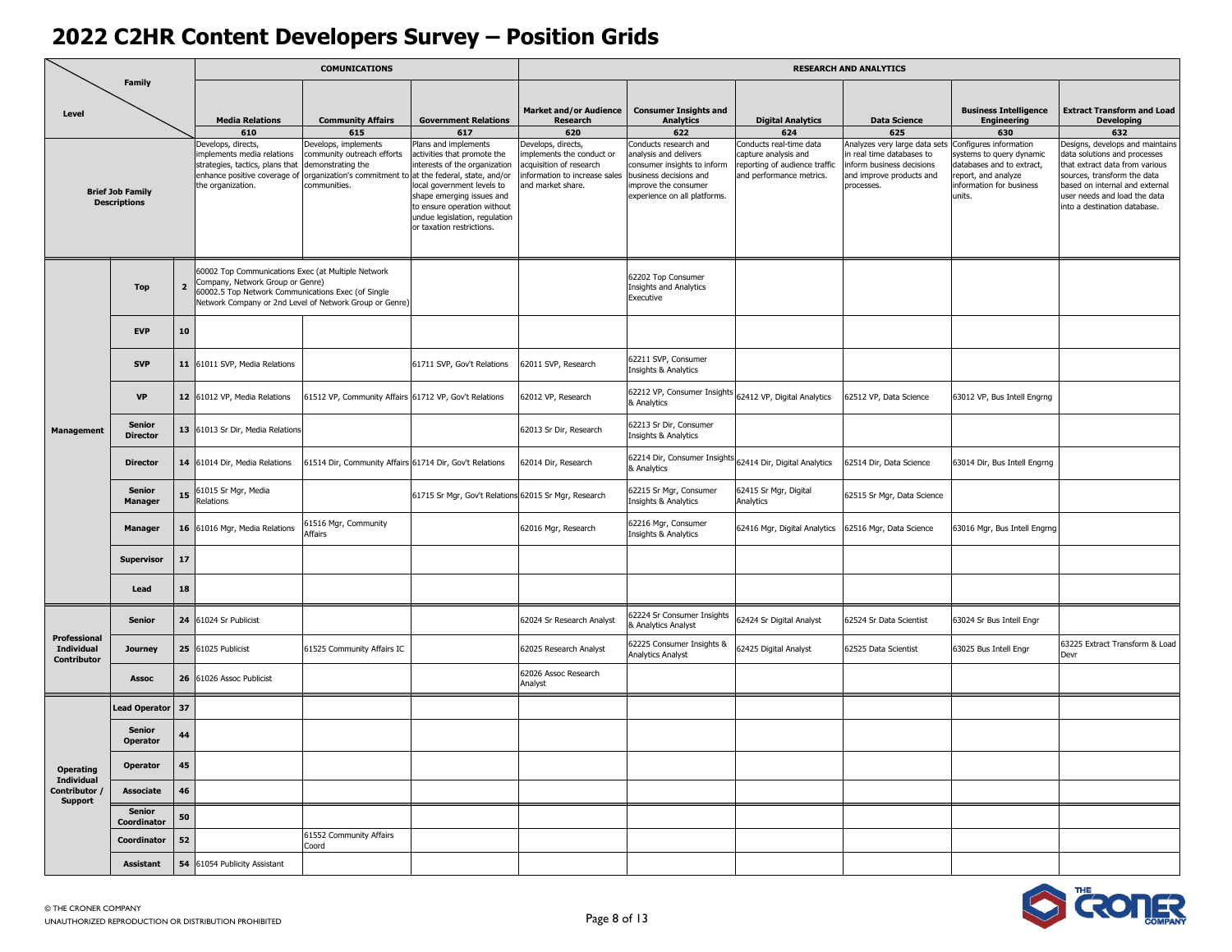|                                                         |                                                |                |                                                                                                                                              | <b>COMUNICATIONS</b>                                                                                                   |                                                                                                                                                                                                                                                                          |                                                                                                                                |                                                                                                                                                                |                                                                                                              | <b>RESEARCH AND ANALYTICS</b>                                                                                                    |                                                                                                                                             |                                                                                                                                                                                                                                    |
|---------------------------------------------------------|------------------------------------------------|----------------|----------------------------------------------------------------------------------------------------------------------------------------------|------------------------------------------------------------------------------------------------------------------------|--------------------------------------------------------------------------------------------------------------------------------------------------------------------------------------------------------------------------------------------------------------------------|--------------------------------------------------------------------------------------------------------------------------------|----------------------------------------------------------------------------------------------------------------------------------------------------------------|--------------------------------------------------------------------------------------------------------------|----------------------------------------------------------------------------------------------------------------------------------|---------------------------------------------------------------------------------------------------------------------------------------------|------------------------------------------------------------------------------------------------------------------------------------------------------------------------------------------------------------------------------------|
| Level                                                   | Family                                         |                | <b>Media Relations</b><br>610                                                                                                                | <b>Community Affairs</b><br>615                                                                                        | <b>Government Relations</b><br>617                                                                                                                                                                                                                                       | <b>Market and/or Audience</b><br>Research<br>620                                                                               | <b>Consumer Insights and</b><br><b>Analytics</b><br>622                                                                                                        | <b>Digital Analytics</b><br>624                                                                              | <b>Data Science</b><br>625                                                                                                       | <b>Business Intelligence</b><br><b>Engineering</b><br>630                                                                                   | <b>Extract Transform and Load</b><br><b>Developing</b><br>632                                                                                                                                                                      |
|                                                         | <b>Brief Job Family</b><br><b>Descriptions</b> |                | Develops, directs,<br>mplements media relations<br>strategies, tactics, plans that<br>enhance positive coverage of<br>the organization.      | Develops, implements<br>community outreach efforts<br>lemonstrating the<br>organization's commitment to<br>ommunities. | lans and implements<br>ctivities that promote the<br>nterests of the organization<br>at the federal, state, and/or<br>ocal government levels to<br>hape emerging issues and<br>to ensure operation without<br>undue legislation, regulation<br>or taxation restrictions. | Develops, directs,<br>nplements the conduct or<br>cquisition of research<br>information to increase sales<br>and market share. | Conducts research and<br>analysis and delivers<br>consumer insights to inform<br>business decisions and<br>mprove the consumer<br>experience on all platforms. | Conducts real-time data<br>capture analysis and<br>reporting of audience traffic<br>and performance metrics. | Analyzes very large data sets<br>n real time databases to<br>inform business decisions<br>and improve products and<br>processes. | onfigures information<br>systems to query dynamic<br>databases and to extract,<br>report, and analyze<br>information for business<br>units. | Designs, develops and maintains<br>data solutions and processes<br>that extract data from various<br>sources, transform the data<br>based on internal and external<br>user needs and load the data<br>into a destination database. |
|                                                         | <b>Top</b>                                     | $\overline{2}$ | 60002 Top Communications Exec (at Multiple Network<br>Company, Network Group or Genre)<br>60002.5 Top Network Communications Exec (of Single | Network Company or 2nd Level of Network Group or Genre                                                                 |                                                                                                                                                                                                                                                                          |                                                                                                                                | 62202 Top Consumer<br><b>Insights and Analytics</b><br>Executive                                                                                               |                                                                                                              |                                                                                                                                  |                                                                                                                                             |                                                                                                                                                                                                                                    |
|                                                         | <b>EVP</b>                                     | 10             |                                                                                                                                              |                                                                                                                        |                                                                                                                                                                                                                                                                          |                                                                                                                                |                                                                                                                                                                |                                                                                                              |                                                                                                                                  |                                                                                                                                             |                                                                                                                                                                                                                                    |
| <b>Management</b>                                       | <b>SVP</b>                                     |                | 11 61011 SVP, Media Relations                                                                                                                |                                                                                                                        | 61711 SVP, Gov't Relations                                                                                                                                                                                                                                               | 62011 SVP, Research                                                                                                            | 62211 SVP, Consumer<br>Insights & Analytics                                                                                                                    |                                                                                                              |                                                                                                                                  |                                                                                                                                             |                                                                                                                                                                                                                                    |
|                                                         | <b>VP</b>                                      |                | 12 61012 VP, Media Relations                                                                                                                 | 61512 VP, Community Affairs 61712 VP, Gov't Relations                                                                  |                                                                                                                                                                                                                                                                          | 62012 VP, Research                                                                                                             | 62212 VP, Consumer Insights<br>& Analytics                                                                                                                     | 62412 VP, Digital Analytics                                                                                  | 62512 VP, Data Science                                                                                                           | 63012 VP, Bus Intell Engrng                                                                                                                 |                                                                                                                                                                                                                                    |
|                                                         | <b>Senior</b><br><b>Director</b>               |                | 13 61013 Sr Dir, Media Relations                                                                                                             |                                                                                                                        |                                                                                                                                                                                                                                                                          | 62013 Sr Dir, Research                                                                                                         | 62213 Sr Dir, Consumer<br>Insights & Analytics                                                                                                                 |                                                                                                              |                                                                                                                                  |                                                                                                                                             |                                                                                                                                                                                                                                    |
|                                                         | <b>Director</b>                                |                | 14 61014 Dir, Media Relations                                                                                                                | 61514 Dir, Community Affairs 61714 Dir, Gov't Relations                                                                |                                                                                                                                                                                                                                                                          | 62014 Dir, Research                                                                                                            | 62214 Dir, Consumer Insight<br>& Analytics                                                                                                                     | 62414 Dir, Digital Analytics                                                                                 | 62514 Dir, Data Science                                                                                                          | 63014 Dir, Bus Intell Engrng                                                                                                                |                                                                                                                                                                                                                                    |
|                                                         | <b>Senior</b><br><b>Manager</b>                |                | 15 61015 Sr Mgr, Media<br>Relations                                                                                                          |                                                                                                                        | 61715 Sr Mgr, Gov't Relations 62015 Sr Mgr, Research                                                                                                                                                                                                                     |                                                                                                                                | 62215 Sr Mgr, Consumer<br>Insights & Analytics                                                                                                                 | 62415 Sr Mgr, Digital<br>Analytics                                                                           | 62515 Sr Mgr, Data Science                                                                                                       |                                                                                                                                             |                                                                                                                                                                                                                                    |
|                                                         | <b>Manager</b>                                 |                | 16 61016 Mgr, Media Relations                                                                                                                | 61516 Mgr, Community<br>lffairs                                                                                        |                                                                                                                                                                                                                                                                          | 62016 Mgr, Research                                                                                                            | 62216 Mgr, Consumer<br>Insights & Analytics                                                                                                                    | 62416 Mgr, Digital Analytics                                                                                 | 62516 Mgr, Data Science                                                                                                          | 63016 Mgr, Bus Intell Engrng                                                                                                                |                                                                                                                                                                                                                                    |
|                                                         | Supervisor                                     | 17             |                                                                                                                                              |                                                                                                                        |                                                                                                                                                                                                                                                                          |                                                                                                                                |                                                                                                                                                                |                                                                                                              |                                                                                                                                  |                                                                                                                                             |                                                                                                                                                                                                                                    |
|                                                         | Lead                                           | 18             |                                                                                                                                              |                                                                                                                        |                                                                                                                                                                                                                                                                          |                                                                                                                                |                                                                                                                                                                |                                                                                                              |                                                                                                                                  |                                                                                                                                             |                                                                                                                                                                                                                                    |
|                                                         | <b>Senior</b>                                  |                | 24 61024 Sr Publicist                                                                                                                        |                                                                                                                        |                                                                                                                                                                                                                                                                          | 62024 Sr Research Analyst                                                                                                      | 62224 Sr Consumer Insights<br>& Analytics Analyst                                                                                                              | 62424 Sr Digital Analyst                                                                                     | 62524 Sr Data Scientist                                                                                                          | 63024 Sr Bus Intell Engr                                                                                                                    |                                                                                                                                                                                                                                    |
| Professional<br><b>Individual</b><br><b>Contributor</b> | Journey                                        |                | 25 61025 Publicist                                                                                                                           | 61525 Community Affairs IC                                                                                             |                                                                                                                                                                                                                                                                          | 62025 Research Analyst                                                                                                         | 62225 Consumer Insights &<br>Analytics Analyst                                                                                                                 | 62425 Digital Analyst                                                                                        | 62525 Data Scientist                                                                                                             | 63025 Bus Intell Engr                                                                                                                       | 63225 Extract Transform & Load<br><b>Devr</b>                                                                                                                                                                                      |
|                                                         | <b>Assoc</b>                                   |                | 26 61026 Assoc Publicist                                                                                                                     |                                                                                                                        |                                                                                                                                                                                                                                                                          | 62026 Assoc Research<br>Analyst                                                                                                |                                                                                                                                                                |                                                                                                              |                                                                                                                                  |                                                                                                                                             |                                                                                                                                                                                                                                    |
|                                                         | Lead Operator                                  | 37             |                                                                                                                                              |                                                                                                                        |                                                                                                                                                                                                                                                                          |                                                                                                                                |                                                                                                                                                                |                                                                                                              |                                                                                                                                  |                                                                                                                                             |                                                                                                                                                                                                                                    |
|                                                         | <b>Senior</b><br>Operator                      | 44             |                                                                                                                                              |                                                                                                                        |                                                                                                                                                                                                                                                                          |                                                                                                                                |                                                                                                                                                                |                                                                                                              |                                                                                                                                  |                                                                                                                                             |                                                                                                                                                                                                                                    |
| <b>Operating</b><br><b>Individual</b>                   | Operator                                       | 45             |                                                                                                                                              |                                                                                                                        |                                                                                                                                                                                                                                                                          |                                                                                                                                |                                                                                                                                                                |                                                                                                              |                                                                                                                                  |                                                                                                                                             |                                                                                                                                                                                                                                    |
| Contributor<br><b>Support</b>                           | Associate                                      | 46             |                                                                                                                                              |                                                                                                                        |                                                                                                                                                                                                                                                                          |                                                                                                                                |                                                                                                                                                                |                                                                                                              |                                                                                                                                  |                                                                                                                                             |                                                                                                                                                                                                                                    |
|                                                         | <b>Senior</b><br>Coordinator                   | 50             |                                                                                                                                              |                                                                                                                        |                                                                                                                                                                                                                                                                          |                                                                                                                                |                                                                                                                                                                |                                                                                                              |                                                                                                                                  |                                                                                                                                             |                                                                                                                                                                                                                                    |
|                                                         | Coordinator                                    | 52             |                                                                                                                                              | 61552 Community Affairs<br>Coord                                                                                       |                                                                                                                                                                                                                                                                          |                                                                                                                                |                                                                                                                                                                |                                                                                                              |                                                                                                                                  |                                                                                                                                             |                                                                                                                                                                                                                                    |
|                                                         | Assistant                                      |                | 54 61054 Publicity Assistant                                                                                                                 |                                                                                                                        |                                                                                                                                                                                                                                                                          |                                                                                                                                |                                                                                                                                                                |                                                                                                              |                                                                                                                                  |                                                                                                                                             |                                                                                                                                                                                                                                    |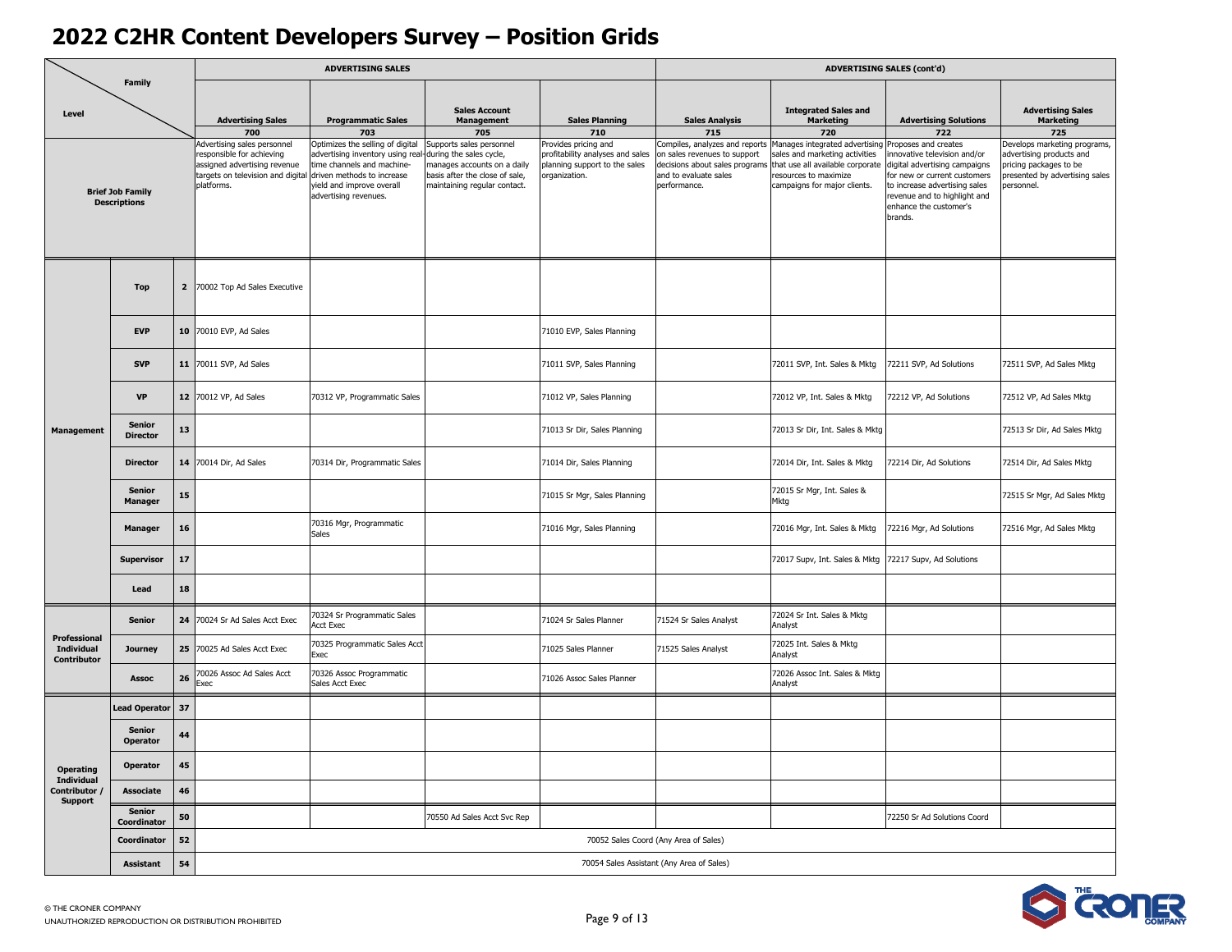|                                           |                                                |    |                                                                                                                                                    | <b>ADVERTISING SALES</b>                                                                                                                                                                       |                                                                                                                                                              |                                                                                                                   |                                                                                                                                                  |                                                                                                                                                                      | <b>ADVERTISING SALES (cont'd)</b>                                                                                                                                                                                                 |                                                                                                                                           |
|-------------------------------------------|------------------------------------------------|----|----------------------------------------------------------------------------------------------------------------------------------------------------|------------------------------------------------------------------------------------------------------------------------------------------------------------------------------------------------|--------------------------------------------------------------------------------------------------------------------------------------------------------------|-------------------------------------------------------------------------------------------------------------------|--------------------------------------------------------------------------------------------------------------------------------------------------|----------------------------------------------------------------------------------------------------------------------------------------------------------------------|-----------------------------------------------------------------------------------------------------------------------------------------------------------------------------------------------------------------------------------|-------------------------------------------------------------------------------------------------------------------------------------------|
| Level                                     | Family                                         |    | <b>Advertising Sales</b>                                                                                                                           | <b>Programmatic Sales</b>                                                                                                                                                                      | <b>Sales Account</b><br><b>Management</b>                                                                                                                    | <b>Sales Planning</b>                                                                                             | <b>Sales Analysis</b>                                                                                                                            | <b>Integrated Sales and</b><br><b>Marketing</b>                                                                                                                      | <b>Advertising Solutions</b>                                                                                                                                                                                                      | <b>Advertising Sales</b><br><b>Marketing</b>                                                                                              |
|                                           | <b>Brief Job Family</b><br><b>Descriptions</b> |    | 700<br>Advertising sales personnel<br>responsible for achieving<br>assigned advertising revenue<br>targets on television and digital<br>platforms. | 703<br>Optimizes the selling of digital<br>advertising inventory using real-<br>time channels and machine-<br>driven methods to increase<br>yield and improve overall<br>advertising revenues. | 705<br>Supports sales personnel<br>-during the sales cycle,<br>manages accounts on a daily<br>basis after the close of sale,<br>maintaining regular contact. | 710<br>Provides pricing and<br>profitability analyses and sales<br>planning support to the sales<br>organization. | 715<br>Compiles, analyzes and reports<br>on sales revenues to support<br>decisions about sales programs<br>and to evaluate sales<br>performance. | 720<br>Manages integrated advertising<br>sales and marketing activities<br>that use all available corporate<br>resources to maximize<br>campaigns for major clients. | 722<br>Proposes and creates<br>nnovative television and/or<br>digital advertising campaigns<br>for new or current customers<br>to increase advertising sales<br>revenue and to highlight and<br>enhance the customer's<br>brands. | 725<br>Develops marketing programs,<br>advertising products and<br>pricing packages to be<br>presented by advertising sales<br>personnel. |
|                                           | <b>Top</b>                                     |    | 2 70002 Top Ad Sales Executive                                                                                                                     |                                                                                                                                                                                                |                                                                                                                                                              |                                                                                                                   |                                                                                                                                                  |                                                                                                                                                                      |                                                                                                                                                                                                                                   |                                                                                                                                           |
|                                           | <b>EVP</b>                                     |    | 10 70010 EVP, Ad Sales                                                                                                                             |                                                                                                                                                                                                |                                                                                                                                                              | 71010 EVP, Sales Planning                                                                                         |                                                                                                                                                  |                                                                                                                                                                      |                                                                                                                                                                                                                                   |                                                                                                                                           |
| <b>Management</b>                         | <b>SVP</b>                                     |    | 11 70011 SVP, Ad Sales                                                                                                                             |                                                                                                                                                                                                |                                                                                                                                                              | 71011 SVP, Sales Planning                                                                                         |                                                                                                                                                  | 72011 SVP, Int. Sales & Mktg                                                                                                                                         | 72211 SVP, Ad Solutions                                                                                                                                                                                                           | 72511 SVP, Ad Sales Mktg                                                                                                                  |
|                                           | VP                                             |    | 12 70012 VP, Ad Sales                                                                                                                              | 70312 VP, Programmatic Sales                                                                                                                                                                   |                                                                                                                                                              | 71012 VP, Sales Planning                                                                                          |                                                                                                                                                  | 72012 VP, Int. Sales & Mktg                                                                                                                                          | 72212 VP, Ad Solutions                                                                                                                                                                                                            | 72512 VP, Ad Sales Mktg                                                                                                                   |
|                                           | <b>Senior</b><br><b>Director</b>               | 13 |                                                                                                                                                    |                                                                                                                                                                                                |                                                                                                                                                              | 71013 Sr Dir, Sales Planning                                                                                      |                                                                                                                                                  | 72013 Sr Dir, Int. Sales & Mktg                                                                                                                                      |                                                                                                                                                                                                                                   | 72513 Sr Dir, Ad Sales Mktg                                                                                                               |
|                                           | <b>Director</b>                                |    | 14 70014 Dir, Ad Sales                                                                                                                             | 70314 Dir, Programmatic Sales                                                                                                                                                                  |                                                                                                                                                              | 71014 Dir, Sales Planning                                                                                         |                                                                                                                                                  | 72014 Dir, Int. Sales & Mktg                                                                                                                                         | 72214 Dir, Ad Solutions                                                                                                                                                                                                           | 72514 Dir, Ad Sales Mktg                                                                                                                  |
|                                           | <b>Senior</b><br><b>Manager</b>                | 15 |                                                                                                                                                    |                                                                                                                                                                                                |                                                                                                                                                              | 71015 Sr Mgr, Sales Planning                                                                                      |                                                                                                                                                  | 72015 Sr Mgr, Int. Sales &<br>Mktg                                                                                                                                   |                                                                                                                                                                                                                                   | 72515 Sr Mgr, Ad Sales Mktg                                                                                                               |
|                                           | <b>Manager</b>                                 | 16 |                                                                                                                                                    | 70316 Mgr, Programmatic<br><b>Sales</b>                                                                                                                                                        |                                                                                                                                                              | 71016 Mgr, Sales Planning                                                                                         |                                                                                                                                                  | 72016 Mgr, Int. Sales & Mktg                                                                                                                                         | 72216 Mgr, Ad Solutions                                                                                                                                                                                                           | 72516 Mgr, Ad Sales Mktg                                                                                                                  |
|                                           | <b>Supervisor</b>                              | 17 |                                                                                                                                                    |                                                                                                                                                                                                |                                                                                                                                                              |                                                                                                                   |                                                                                                                                                  | 72017 Supv, Int. Sales & Mktg                                                                                                                                        | 72217 Supv, Ad Solutions                                                                                                                                                                                                          |                                                                                                                                           |
|                                           | Lead                                           | 18 |                                                                                                                                                    |                                                                                                                                                                                                |                                                                                                                                                              |                                                                                                                   |                                                                                                                                                  |                                                                                                                                                                      |                                                                                                                                                                                                                                   |                                                                                                                                           |
|                                           | <b>Senior</b>                                  | 24 | 70024 Sr Ad Sales Acct Exec                                                                                                                        | 70324 Sr Programmatic Sales<br>Acct Exec                                                                                                                                                       |                                                                                                                                                              | 71024 Sr Sales Planner                                                                                            | 71524 Sr Sales Analyst                                                                                                                           | 72024 Sr Int. Sales & Mktg<br>Analyst                                                                                                                                |                                                                                                                                                                                                                                   |                                                                                                                                           |
| Professional<br>Individual<br>Contributor | Journey                                        |    | 25 70025 Ad Sales Acct Exec                                                                                                                        | 70325 Programmatic Sales Acct<br>Exec                                                                                                                                                          |                                                                                                                                                              | 71025 Sales Planner                                                                                               | 71525 Sales Analyst                                                                                                                              | 72025 Int. Sales & Mktg<br>Analyst                                                                                                                                   |                                                                                                                                                                                                                                   |                                                                                                                                           |
|                                           | <b>Assoc</b>                                   | 26 | '0026 Assoc Ad Sales Acct<br>Exec                                                                                                                  | 70326 Assoc Programmatic<br>Sales Acct Exec                                                                                                                                                    |                                                                                                                                                              | 71026 Assoc Sales Planner                                                                                         |                                                                                                                                                  | 72026 Assoc Int. Sales & Mktg<br>Analyst                                                                                                                             |                                                                                                                                                                                                                                   |                                                                                                                                           |
|                                           | <b>Lead Operator</b>                           | 37 |                                                                                                                                                    |                                                                                                                                                                                                |                                                                                                                                                              |                                                                                                                   |                                                                                                                                                  |                                                                                                                                                                      |                                                                                                                                                                                                                                   |                                                                                                                                           |
|                                           | <b>Senior</b><br><b>Operator</b>               | 44 |                                                                                                                                                    |                                                                                                                                                                                                |                                                                                                                                                              |                                                                                                                   |                                                                                                                                                  |                                                                                                                                                                      |                                                                                                                                                                                                                                   |                                                                                                                                           |
| <b>Operating</b><br>Individual            | Operator                                       | 45 |                                                                                                                                                    |                                                                                                                                                                                                |                                                                                                                                                              |                                                                                                                   |                                                                                                                                                  |                                                                                                                                                                      |                                                                                                                                                                                                                                   |                                                                                                                                           |
| Contributor /<br>Support                  | Associate                                      | 46 |                                                                                                                                                    |                                                                                                                                                                                                |                                                                                                                                                              |                                                                                                                   |                                                                                                                                                  |                                                                                                                                                                      |                                                                                                                                                                                                                                   |                                                                                                                                           |
|                                           | <b>Senior</b><br>Coordinator                   | 50 |                                                                                                                                                    |                                                                                                                                                                                                | 70550 Ad Sales Acct Svc Rep                                                                                                                                  |                                                                                                                   |                                                                                                                                                  |                                                                                                                                                                      | 72250 Sr Ad Solutions Coord                                                                                                                                                                                                       |                                                                                                                                           |
|                                           | Coordinator                                    | 52 |                                                                                                                                                    |                                                                                                                                                                                                |                                                                                                                                                              |                                                                                                                   | 70052 Sales Coord (Any Area of Sales)                                                                                                            |                                                                                                                                                                      |                                                                                                                                                                                                                                   |                                                                                                                                           |
|                                           | <b>Assistant</b>                               | 54 |                                                                                                                                                    |                                                                                                                                                                                                |                                                                                                                                                              |                                                                                                                   | 70054 Sales Assistant (Any Area of Sales)                                                                                                        |                                                                                                                                                                      |                                                                                                                                                                                                                                   |                                                                                                                                           |

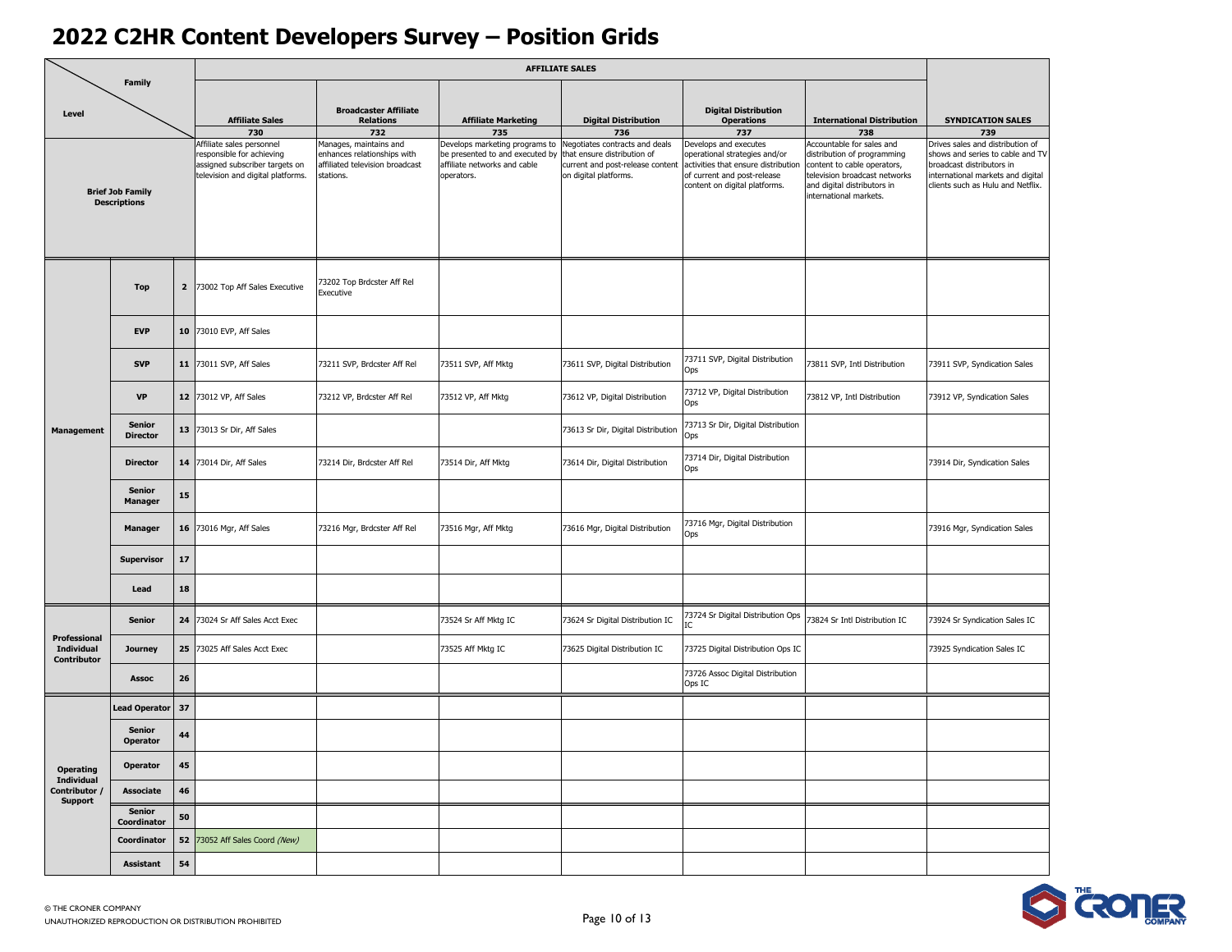| <b>Family</b><br><b>Broadcaster Affiliate</b><br><b>Digital Distribution</b><br>Level<br><b>Digital Distribution</b><br><b>International Distribution</b><br><b>Affiliate Sales</b><br><b>Relations</b><br><b>Affiliate Marketing</b><br><b>Operations</b><br>730<br>732<br>735<br>736<br>737<br>738                                                                                                                                                                                                                                                                                                                                                                                                                                                                                                                                                                                                                         | <b>SYNDICATION SALES</b><br>739<br>Drives sales and distribution of<br>shows and series to cable and TV |
|------------------------------------------------------------------------------------------------------------------------------------------------------------------------------------------------------------------------------------------------------------------------------------------------------------------------------------------------------------------------------------------------------------------------------------------------------------------------------------------------------------------------------------------------------------------------------------------------------------------------------------------------------------------------------------------------------------------------------------------------------------------------------------------------------------------------------------------------------------------------------------------------------------------------------|---------------------------------------------------------------------------------------------------------|
|                                                                                                                                                                                                                                                                                                                                                                                                                                                                                                                                                                                                                                                                                                                                                                                                                                                                                                                              |                                                                                                         |
|                                                                                                                                                                                                                                                                                                                                                                                                                                                                                                                                                                                                                                                                                                                                                                                                                                                                                                                              |                                                                                                         |
| Affiliate sales personnel<br>Develops marketing programs to<br>Negotiates contracts and deals<br>Develops and executes<br>Accountable for sales and<br>Manages, maintains and<br>responsible for achieving<br>enhances relationships with<br>be presented to and executed by<br>that ensure distribution of<br>operational strategies and/or<br>distribution of programming<br>affiliate networks and cable<br>activities that ensure distribution<br>assigned subscriber targets on<br>affiliated television broadcast<br>current and post-release content<br>content to cable operators,<br>broadcast distributors in<br>television and digital platforms.<br>on digital platforms.<br>of current and post-release<br>television broadcast networks<br>stations.<br>operators.<br>content on digital platforms.<br>and digital distributors in<br><b>Brief Job Family</b><br>international markets.<br><b>Descriptions</b> | international markets and digital<br>clients such as Hulu and Netflix.                                  |
| 73202 Top Brdcster Aff Rel<br>$\overline{\mathbf{2}}$<br>73002 Top Aff Sales Executive<br><b>Top</b><br>Executive                                                                                                                                                                                                                                                                                                                                                                                                                                                                                                                                                                                                                                                                                                                                                                                                            |                                                                                                         |
| <b>EVP</b><br>10 73010 EVP, Aff Sales                                                                                                                                                                                                                                                                                                                                                                                                                                                                                                                                                                                                                                                                                                                                                                                                                                                                                        |                                                                                                         |
| 73711 SVP, Digital Distribution<br><b>SVP</b><br>11 73011 SVP, Aff Sales<br>73211 SVP, Brdcster Aff Rel<br>73511 SVP, Aff Mktg<br>73611 SVP, Digital Distribution<br>73811 SVP, Intl Distribution<br>Ops                                                                                                                                                                                                                                                                                                                                                                                                                                                                                                                                                                                                                                                                                                                     | 73911 SVP, Syndication Sales                                                                            |
| 73712 VP, Digital Distribution<br><b>VP</b><br>12 73012 VP, Aff Sales<br>73212 VP, Brdcster Aff Rel<br>73512 VP, Aff Mktg<br>73612 VP, Digital Distribution<br>73812 VP, Intl Distribution<br>Ops                                                                                                                                                                                                                                                                                                                                                                                                                                                                                                                                                                                                                                                                                                                            | 73912 VP, Syndication Sales                                                                             |
| 73713 Sr Dir, Digital Distribution<br><b>Senior</b><br>13 73013 Sr Dir, Aff Sales<br>73613 Sr Dir, Digital Distribution<br><b>Management</b><br><b>Director</b><br>Ops                                                                                                                                                                                                                                                                                                                                                                                                                                                                                                                                                                                                                                                                                                                                                       |                                                                                                         |
| 73714 Dir, Digital Distribution<br><b>Director</b><br>14 73014 Dir, Aff Sales<br>73214 Dir, Brdcster Aff Rel<br>73514 Dir, Aff Mktg<br>73614 Dir, Digital Distribution<br>Ops                                                                                                                                                                                                                                                                                                                                                                                                                                                                                                                                                                                                                                                                                                                                                | 73914 Dir, Syndication Sales                                                                            |
| <b>Senior</b><br>15<br>Manager                                                                                                                                                                                                                                                                                                                                                                                                                                                                                                                                                                                                                                                                                                                                                                                                                                                                                               |                                                                                                         |
| 73716 Mgr, Digital Distribution<br>16 73016 Mgr, Aff Sales<br>73216 Mgr, Brdcster Aff Rel<br>73516 Mgr, Aff Mktg<br>73616 Mgr, Digital Distribution<br><b>Manager</b><br>Ops                                                                                                                                                                                                                                                                                                                                                                                                                                                                                                                                                                                                                                                                                                                                                 | 73916 Mgr, Syndication Sales                                                                            |
| 17<br><b>Supervisor</b>                                                                                                                                                                                                                                                                                                                                                                                                                                                                                                                                                                                                                                                                                                                                                                                                                                                                                                      |                                                                                                         |
| 18<br>Lead                                                                                                                                                                                                                                                                                                                                                                                                                                                                                                                                                                                                                                                                                                                                                                                                                                                                                                                   |                                                                                                         |
| 73724 Sr Digital Distribution Ops<br>24 73024 Sr Aff Sales Acct Exec<br>73524 Sr Aff Mktg IC<br>73624 Sr Digital Distribution IC<br><b>Senior</b><br>73824 Sr Intl Distribution IC<br>IC<br>Professional                                                                                                                                                                                                                                                                                                                                                                                                                                                                                                                                                                                                                                                                                                                     | 73924 Sr Syndication Sales IC                                                                           |
| <b>Individual</b><br>25<br>73025 Aff Sales Acct Exec<br>73525 Aff Mktg IC<br>73625 Digital Distribution IC<br>73725 Digital Distribution Ops IC<br>Journey<br>Contributor                                                                                                                                                                                                                                                                                                                                                                                                                                                                                                                                                                                                                                                                                                                                                    | 73925 Syndication Sales IC                                                                              |
| 73726 Assoc Digital Distribution<br>26<br>Assoc<br>Ops IC                                                                                                                                                                                                                                                                                                                                                                                                                                                                                                                                                                                                                                                                                                                                                                                                                                                                    |                                                                                                         |
| 37<br><b>Lead Operator</b>                                                                                                                                                                                                                                                                                                                                                                                                                                                                                                                                                                                                                                                                                                                                                                                                                                                                                                   |                                                                                                         |
| <b>Senior</b><br>44<br><b>Operator</b>                                                                                                                                                                                                                                                                                                                                                                                                                                                                                                                                                                                                                                                                                                                                                                                                                                                                                       |                                                                                                         |
| 45<br><b>Operator</b><br><b>Operating</b><br>Individual                                                                                                                                                                                                                                                                                                                                                                                                                                                                                                                                                                                                                                                                                                                                                                                                                                                                      |                                                                                                         |
| Contributor /<br><b>Associate</b><br>46<br><b>Support</b><br><b>Senior</b>                                                                                                                                                                                                                                                                                                                                                                                                                                                                                                                                                                                                                                                                                                                                                                                                                                                   |                                                                                                         |
| 50<br>Coordinator<br>52 73052 Aff Sales Coord (New)<br>Coordinator                                                                                                                                                                                                                                                                                                                                                                                                                                                                                                                                                                                                                                                                                                                                                                                                                                                           |                                                                                                         |
| 54<br><b>Assistant</b>                                                                                                                                                                                                                                                                                                                                                                                                                                                                                                                                                                                                                                                                                                                                                                                                                                                                                                       |                                                                                                         |

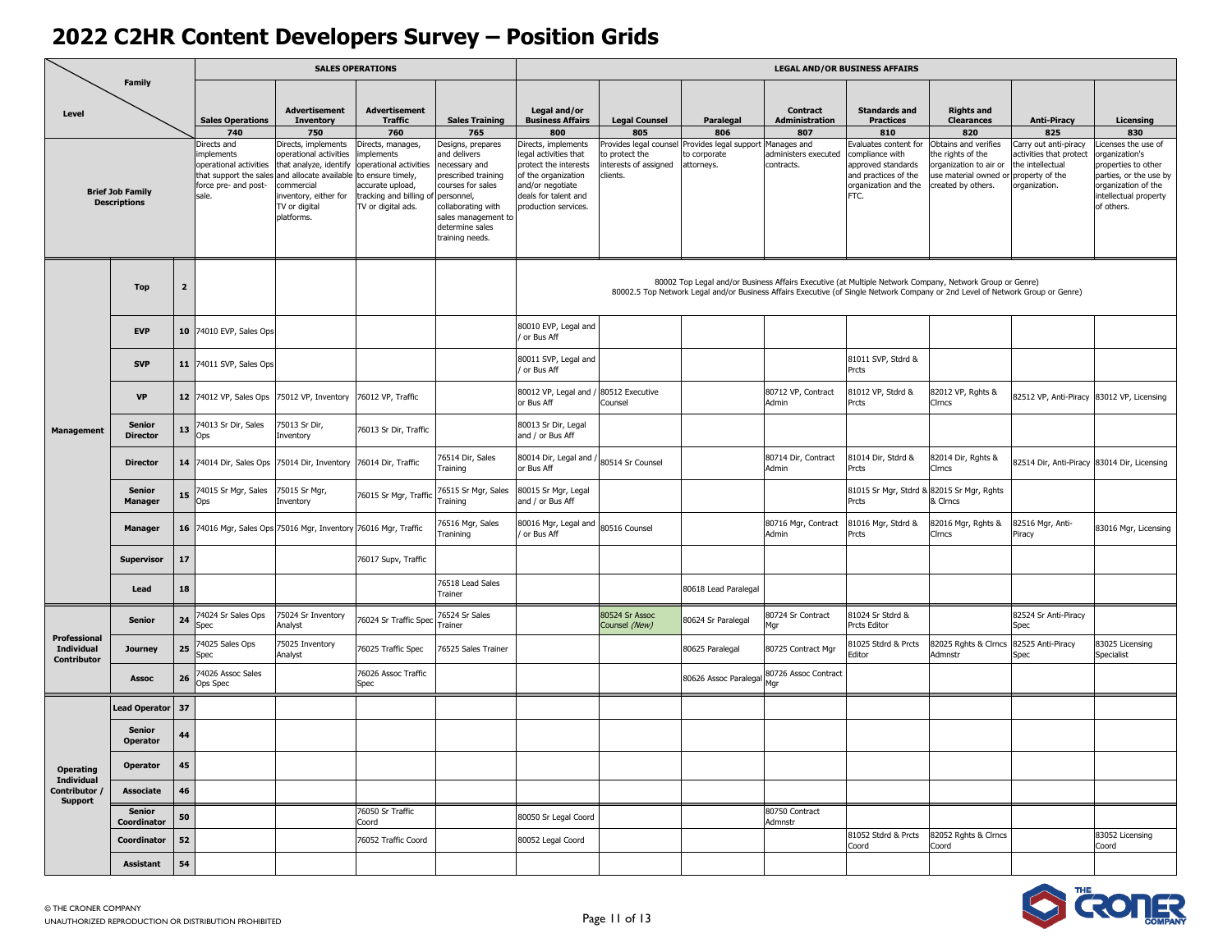| Family                           |                                                |                         |                                                                                                               |                                                                                                                                                                             | <b>SALES OPERATIONS</b>                                                                                                                                       |                                                                                                                                                                                       |                                                                                                                                                                 |                                                                               |                                                      |                                                   | <b>LEGAL AND/OR BUSINESS AFFAIRS</b>                                                                                                                                                                                                      |                                                                                                                                   |                                                                                     |                                                                                                                                                   |
|----------------------------------|------------------------------------------------|-------------------------|---------------------------------------------------------------------------------------------------------------|-----------------------------------------------------------------------------------------------------------------------------------------------------------------------------|---------------------------------------------------------------------------------------------------------------------------------------------------------------|---------------------------------------------------------------------------------------------------------------------------------------------------------------------------------------|-----------------------------------------------------------------------------------------------------------------------------------------------------------------|-------------------------------------------------------------------------------|------------------------------------------------------|---------------------------------------------------|-------------------------------------------------------------------------------------------------------------------------------------------------------------------------------------------------------------------------------------------|-----------------------------------------------------------------------------------------------------------------------------------|-------------------------------------------------------------------------------------|---------------------------------------------------------------------------------------------------------------------------------------------------|
| Level                            |                                                |                         | <b>Sales Operations</b><br>740                                                                                | <b>Advertisement</b><br><b>Inventory</b><br>750                                                                                                                             | <b>Advertisement</b><br><b>Traffic</b><br>760                                                                                                                 | <b>Sales Training</b><br>765                                                                                                                                                          | Legal and/or<br><b>Business Affairs</b><br>800                                                                                                                  | <b>Legal Counsel</b><br>805                                                   | Paralegal<br>806                                     | Contract<br><b>Administration</b><br>807          | <b>Standards and</b><br><b>Practices</b><br>810                                                                                                                                                                                           | <b>Rights and</b><br><b>Clearances</b><br>820                                                                                     | <b>Anti-Piracy</b><br>825                                                           | Licensing<br>830                                                                                                                                  |
|                                  | <b>Brief Job Family</b><br><b>Descriptions</b> |                         | Directs and<br>nplements<br>operational activities<br>that support the sales<br>force pre- and post-<br>sale. | Directs, implements<br>perational activities<br>that analyze, identify<br>and allocate available<br>ommercial<br>nventory, either for<br><b>TV</b> or digital<br>platforms. | Directs, manages,<br>mplements<br>operational activities<br>to ensure timely,<br>accurate upload,<br>tracking and billing of personnel,<br>TV or digital ads. | besigns, prepares<br><b>nd delivers</b><br>ecessary and<br>rescribed training<br>courses for sales<br>collaborating with<br>sales management to<br>determine sales<br>training needs. | Directs, implements<br>egal activities that<br>protect the interests<br>of the organization<br>and/or negotiate<br>deals for talent and<br>production services. | Provides legal counsel<br>to protect the<br>interests of assigned<br>clients. | Provides legal support<br>to corporate<br>attorneys. | Manages and<br>administers executed<br>contracts. | valuates content for<br>ompliance with<br>approved standards<br>and practices of the<br>organization and the<br>FTC.                                                                                                                      | Obtains and verifies<br>he rights of the<br>organization to air or<br>use material owned or property of the<br>created by others. | Carry out anti-piracy<br>ctivities that protect<br>the intellectual<br>rganization. | icenses the use of<br>rganization's<br>roperties to other<br>parties, or the use by<br>organization of the<br>intellectual property<br>of others. |
|                                  | <b>Top</b>                                     | $\overline{\mathbf{2}}$ |                                                                                                               |                                                                                                                                                                             |                                                                                                                                                               |                                                                                                                                                                                       |                                                                                                                                                                 |                                                                               |                                                      |                                                   | 80002 Top Legal and/or Business Affairs Executive (at Multiple Network Company, Network Group or Genre)<br>80002.5 Top Network Legal and/or Business Affairs Executive (of Single Network Company or 2nd Level of Network Group or Genre) |                                                                                                                                   |                                                                                     |                                                                                                                                                   |
|                                  | <b>EVP</b>                                     | 10                      | 74010 EVP, Sales Ops                                                                                          |                                                                                                                                                                             |                                                                                                                                                               |                                                                                                                                                                                       | 80010 EVP, Legal and<br>or Bus Aff                                                                                                                              |                                                                               |                                                      |                                                   |                                                                                                                                                                                                                                           |                                                                                                                                   |                                                                                     |                                                                                                                                                   |
|                                  | <b>SVP</b>                                     | 11                      | 74011 SVP, Sales Ops                                                                                          |                                                                                                                                                                             |                                                                                                                                                               |                                                                                                                                                                                       | 80011 SVP, Legal and<br>or Bus Aff                                                                                                                              |                                                                               |                                                      |                                                   | 81011 SVP, Stdrd &<br>Prcts                                                                                                                                                                                                               |                                                                                                                                   |                                                                                     |                                                                                                                                                   |
| <b>Management</b>                | <b>VP</b>                                      | 12 <sub>2</sub>         | 74012 VP, Sales Ops                                                                                           | 75012 VP, Inventory                                                                                                                                                         | 76012 VP, Traffic                                                                                                                                             |                                                                                                                                                                                       | 80012 VP, Legal and<br>or Bus Aff                                                                                                                               | 80512 Executive<br>Counsel                                                    |                                                      | 80712 VP, Contract<br>Admin                       | 81012 VP, Stdrd &<br>Prcts                                                                                                                                                                                                                | 82012 VP, Rghts &<br>Cirncs                                                                                                       | 32512 VP, Anti-Piracy 83012 VP, Licensing                                           |                                                                                                                                                   |
|                                  | <b>Senior</b><br><b>Director</b>               | 13                      | 74013 Sr Dir, Sales<br>Ops                                                                                    | 75013 Sr Dir,<br>inventory                                                                                                                                                  | 76013 Sr Dir, Traffic                                                                                                                                         |                                                                                                                                                                                       | 80013 Sr Dir, Legal<br>and / or Bus Aff                                                                                                                         |                                                                               |                                                      |                                                   |                                                                                                                                                                                                                                           |                                                                                                                                   |                                                                                     |                                                                                                                                                   |
|                                  | <b>Director</b>                                | 14                      | 74014 Dir, Sales Ops                                                                                          | 75014 Dir, Inventory                                                                                                                                                        | 76014 Dir, Traffic                                                                                                                                            | 76514 Dir, Sales<br>Training                                                                                                                                                          | 80014 Dir, Legal and<br>or Bus Aff                                                                                                                              | 80514 Sr Counsel                                                              |                                                      | 80714 Dir, Contract<br>Admin                      | 81014 Dir, Stdrd &<br>Prcts                                                                                                                                                                                                               | 82014 Dir, Rghts &<br>Cirncs                                                                                                      | 82514 Dir, Anti-Piracy 83014 Dir, Licensing                                         |                                                                                                                                                   |
|                                  | Senior<br><b>Manager</b>                       | 15                      | 74015 Sr Mgr, Sales<br>Ops                                                                                    | 75015 Sr Mgr,<br>inventory                                                                                                                                                  | 76015 Sr Mgr, Traffic                                                                                                                                         | 76515 Sr Mgr, Sales<br>Training                                                                                                                                                       | 80015 Sr Mgr, Legal<br>and / or Bus Aff                                                                                                                         |                                                                               |                                                      |                                                   | 81015 Sr Mgr, Stdrd & 82015 Sr Mgr, Rghts<br>Prcts                                                                                                                                                                                        | & Cirncs                                                                                                                          |                                                                                     |                                                                                                                                                   |
|                                  | <b>Manager</b>                                 | 16                      |                                                                                                               | 74016 Mgr, Sales Ops 75016 Mgr, Inventory 76016 Mgr, Traffic                                                                                                                |                                                                                                                                                               | 76516 Mgr, Sales<br>Tranining                                                                                                                                                         | 80016 Mgr, Legal and<br>or Bus Aff                                                                                                                              | 80516 Counsel                                                                 |                                                      | 80716 Mgr, Contract<br>Admin                      | 81016 Mgr, Stdrd &<br>Prcts                                                                                                                                                                                                               | 82016 Mgr, Rghts &<br>Cirncs                                                                                                      | 32516 Mgr, Anti-<br>'iracy                                                          | 83016 Mgr, Licensing                                                                                                                              |
|                                  | <b>Supervisor</b>                              | 17                      |                                                                                                               |                                                                                                                                                                             | 76017 Supv, Traffic                                                                                                                                           |                                                                                                                                                                                       |                                                                                                                                                                 |                                                                               |                                                      |                                                   |                                                                                                                                                                                                                                           |                                                                                                                                   |                                                                                     |                                                                                                                                                   |
|                                  | Lead                                           | 18                      |                                                                                                               |                                                                                                                                                                             |                                                                                                                                                               | 76518 Lead Sales<br>Trainer                                                                                                                                                           |                                                                                                                                                                 |                                                                               | 80618 Lead Paralegal                                 |                                                   |                                                                                                                                                                                                                                           |                                                                                                                                   |                                                                                     |                                                                                                                                                   |
| Professional                     | <b>Senior</b>                                  | 24                      | 74024 Sr Sales Ops<br>Spec                                                                                    | 75024 Sr Inventory<br><b>Analyst</b>                                                                                                                                        | 76024 Sr Traffic Spec                                                                                                                                         | 76524 Sr Sales<br>Trainer                                                                                                                                                             |                                                                                                                                                                 | 80524 Sr Assoc<br>Counsel (New)                                               | 30624 Sr Paralegal                                   | 80724 Sr Contract<br>Mar                          | 81024 Sr Stdrd &<br>Prcts Editor                                                                                                                                                                                                          |                                                                                                                                   | 82524 Sr Anti-Piracy<br>Spec                                                        |                                                                                                                                                   |
| Individual<br><b>Contributor</b> | Journey                                        | 25                      | '4025 Sales Ops<br>Spec                                                                                       | 75025 Inventory<br>Analyst                                                                                                                                                  | 76025 Traffic Spec                                                                                                                                            | 76525 Sales Trainer                                                                                                                                                                   |                                                                                                                                                                 |                                                                               | 30625 Paralegal                                      | 80725 Contract Mgr                                | 81025 Stdrd & Prcts<br>Editor                                                                                                                                                                                                             | 82025 Rghts & Clrncs<br>Admnstr                                                                                                   | 82525 Anti-Piracy<br>Spec                                                           | 83025 Licensing<br>Specialist                                                                                                                     |
|                                  | <b>Assoc</b>                                   | 26                      | '4026 Assoc Sales<br>Ops Spec                                                                                 |                                                                                                                                                                             | 76026 Assoc Traffic<br>Spec                                                                                                                                   |                                                                                                                                                                                       |                                                                                                                                                                 |                                                                               | 30626 Assoc Paralegal                                | 80726 Assoc Contract<br>Mar                       |                                                                                                                                                                                                                                           |                                                                                                                                   |                                                                                     |                                                                                                                                                   |
|                                  | Lead Operator                                  | 37                      |                                                                                                               |                                                                                                                                                                             |                                                                                                                                                               |                                                                                                                                                                                       |                                                                                                                                                                 |                                                                               |                                                      |                                                   |                                                                                                                                                                                                                                           |                                                                                                                                   |                                                                                     |                                                                                                                                                   |
|                                  | Senior<br><b>Operator</b>                      | 44                      |                                                                                                               |                                                                                                                                                                             |                                                                                                                                                               |                                                                                                                                                                                       |                                                                                                                                                                 |                                                                               |                                                      |                                                   |                                                                                                                                                                                                                                           |                                                                                                                                   |                                                                                     |                                                                                                                                                   |
| <b>Operating</b><br>Individual   | <b>Operator</b>                                | 45                      |                                                                                                               |                                                                                                                                                                             |                                                                                                                                                               |                                                                                                                                                                                       |                                                                                                                                                                 |                                                                               |                                                      |                                                   |                                                                                                                                                                                                                                           |                                                                                                                                   |                                                                                     |                                                                                                                                                   |
| Contributor<br><b>Support</b>    | <b>Associate</b>                               | 46                      |                                                                                                               |                                                                                                                                                                             |                                                                                                                                                               |                                                                                                                                                                                       |                                                                                                                                                                 |                                                                               |                                                      |                                                   |                                                                                                                                                                                                                                           |                                                                                                                                   |                                                                                     |                                                                                                                                                   |
|                                  | <b>Senior</b><br>Coordinator                   | 50                      |                                                                                                               |                                                                                                                                                                             | 76050 Sr Traffic<br>Coord                                                                                                                                     |                                                                                                                                                                                       | 80050 Sr Legal Coord                                                                                                                                            |                                                                               |                                                      | 80750 Contract<br>Admnstr                         |                                                                                                                                                                                                                                           |                                                                                                                                   |                                                                                     |                                                                                                                                                   |
|                                  | Coordinator                                    | 52                      |                                                                                                               |                                                                                                                                                                             | 76052 Traffic Coord                                                                                                                                           |                                                                                                                                                                                       | 80052 Legal Coord                                                                                                                                               |                                                                               |                                                      |                                                   | 81052 Stdrd & Prcts<br>Coord                                                                                                                                                                                                              | 82052 Rghts & Clrncs<br>Coord                                                                                                     |                                                                                     | 83052 Licensing<br>Coord                                                                                                                          |
|                                  | <b>Assistant</b>                               | 54                      |                                                                                                               |                                                                                                                                                                             |                                                                                                                                                               |                                                                                                                                                                                       |                                                                                                                                                                 |                                                                               |                                                      |                                                   |                                                                                                                                                                                                                                           |                                                                                                                                   |                                                                                     |                                                                                                                                                   |

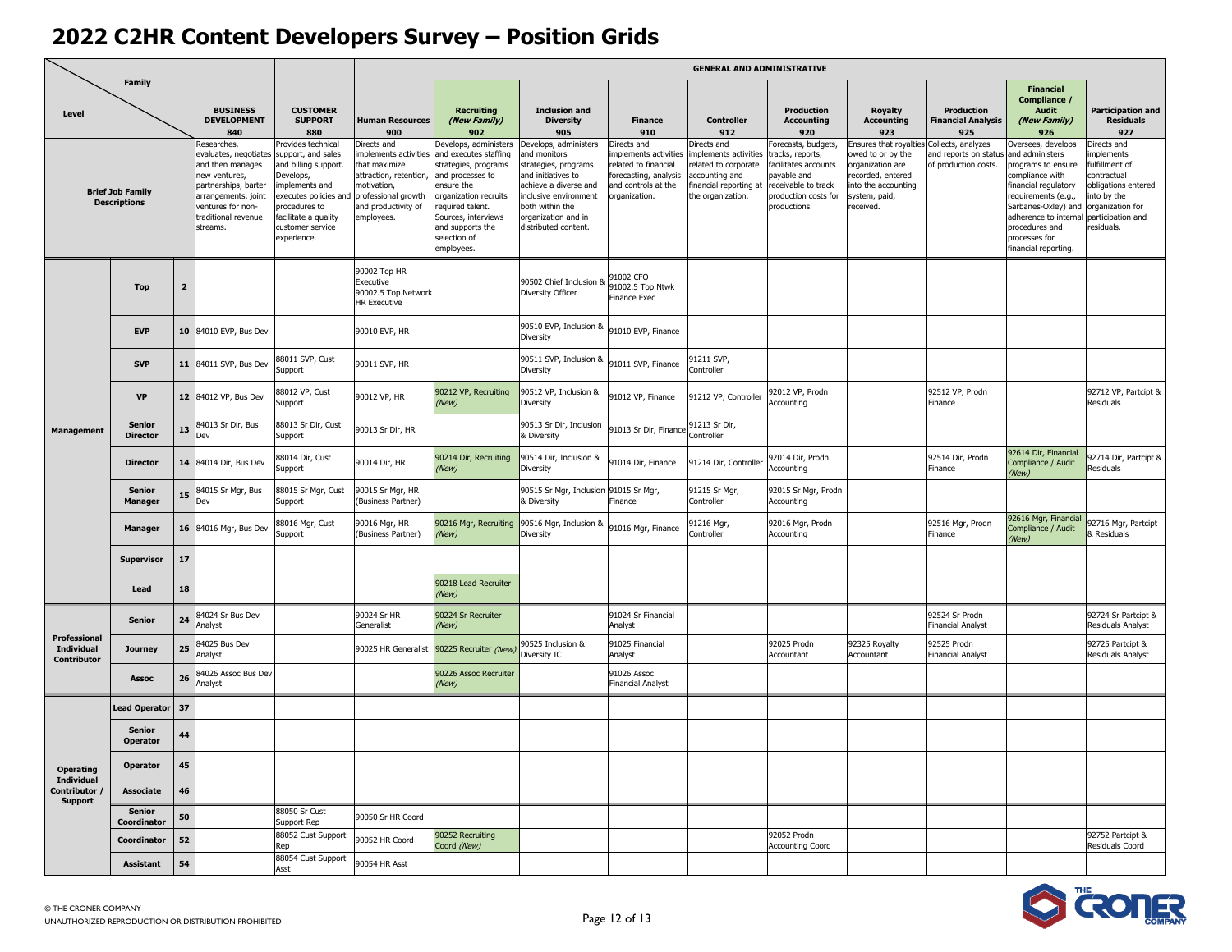|                                       |                                                |                         |                                                                                                                                                                                  |                                                                                                                                                                                                   |                                                                                                                                                           |                                                                                                                                                                                                                            |                                                                                                                                                                                                         |                                                                                                                              | <b>GENERAL AND ADMINISTRATIVE</b>                                                                                          |                                                                                                                                           |                                                                                                                                       |                                                                     |                                                                                                                                                                                                                                          |                                                                                                                                                  |
|---------------------------------------|------------------------------------------------|-------------------------|----------------------------------------------------------------------------------------------------------------------------------------------------------------------------------|---------------------------------------------------------------------------------------------------------------------------------------------------------------------------------------------------|-----------------------------------------------------------------------------------------------------------------------------------------------------------|----------------------------------------------------------------------------------------------------------------------------------------------------------------------------------------------------------------------------|---------------------------------------------------------------------------------------------------------------------------------------------------------------------------------------------------------|------------------------------------------------------------------------------------------------------------------------------|----------------------------------------------------------------------------------------------------------------------------|-------------------------------------------------------------------------------------------------------------------------------------------|---------------------------------------------------------------------------------------------------------------------------------------|---------------------------------------------------------------------|------------------------------------------------------------------------------------------------------------------------------------------------------------------------------------------------------------------------------------------|--------------------------------------------------------------------------------------------------------------------------------------------------|
| Level                                 | <b>Family</b>                                  |                         | <b>BUSINESS</b><br><b>DEVELOPMENT</b><br>840                                                                                                                                     | <b>CUSTOMER</b><br><b>SUPPORT</b><br>880                                                                                                                                                          | <b>Human Resources</b><br>900                                                                                                                             | <b>Recruiting</b><br>(New Family)<br>902                                                                                                                                                                                   | <b>Inclusion and</b><br><b>Diversity</b><br>905                                                                                                                                                         | <b>Finance</b><br>910                                                                                                        | <b>Controller</b><br>912                                                                                                   | Production<br><b>Accounting</b><br>920                                                                                                    | <b>Royalty</b><br><b>Accounting</b><br>923                                                                                            | <b>Production</b><br><b>Financial Analysis</b><br>925               | <b>Financial</b><br>Compliance /<br><b>Audit</b><br>(New Family)<br>926                                                                                                                                                                  | <b>Participation and</b><br><b>Residuals</b><br>927                                                                                              |
|                                       | <b>Brief Job Family</b><br><b>Descriptions</b> |                         | tesearches,<br>evaluates, negotiates<br>and then manages<br>new ventures,<br>partnerships, barter<br>arrangements, joint<br>ventures for non-<br>traditional revenue<br>streams. | rovides technical<br>support, and sales<br>and billing support.<br>Develops,<br>mplements and<br>executes policies and<br>procedures to<br>acilitate a quality<br>customer service<br>experience. | Directs and<br>mplements activities<br>that maximize<br>attraction, retention,<br>motivation,<br>professional growth<br>and productivity of<br>employees. | Develops, administers<br>and executes staffing<br>trategies, programs<br>and processes to<br>nsure the<br>rganization recruits<br>equired talent.<br>Sources, interviews<br>and supports the<br>selection of<br>employees. | Develops, administers<br>and monitors<br>strategies, programs<br>and initiatives to<br>achieve a diverse and<br>inclusive environment<br>both within the<br>organization and in<br>distributed content. | Directs and<br>mplements activities<br>related to financial<br>forecasting, analysis<br>and controls at the<br>praanization. | Directs and<br>nplements activities<br>elated to corporate<br>accounting and<br>inancial reporting at<br>the organization. | orecasts, budgets,<br>racks, reports,<br>acilitates accounts<br>payable and<br>eceivable to track<br>production costs for<br>productions. | insures that royaltie<br>wed to or by the<br>organization are<br>ecorded, entered<br>into the accounting<br>system, paid,<br>eceived. | Collects, analyzes<br>and reports on status<br>of production costs. | Oversees, develops<br>and administers<br>programs to ensure<br>compliance with<br>financial regulatory<br>requirements (e.g.,<br>Sarbanes-Oxley) and<br>adherence to internal<br>procedures and<br>processes for<br>financial reporting. | Directs and<br>nplements<br>fulfillment of<br>ontractual<br>bligations entered<br>to by the<br>rganization for<br>participation and<br>esiduals. |
|                                       | <b>Top</b>                                     | $\overline{\mathbf{2}}$ |                                                                                                                                                                                  |                                                                                                                                                                                                   | 90002 Top HR<br>Executive<br>90002.5 Top Network<br>HR Executive                                                                                          |                                                                                                                                                                                                                            | 90502 Chief Inclusion 8<br>Diversity Officer                                                                                                                                                            | 91002 CFO<br>91002.5 Top Ntwk<br>Finance Exec                                                                                |                                                                                                                            |                                                                                                                                           |                                                                                                                                       |                                                                     |                                                                                                                                                                                                                                          |                                                                                                                                                  |
|                                       | <b>EVP</b>                                     | 10                      | 84010 EVP, Bus Dev                                                                                                                                                               |                                                                                                                                                                                                   | 90010 EVP, HR                                                                                                                                             |                                                                                                                                                                                                                            | 90510 EVP, Inclusion &<br>Diversity                                                                                                                                                                     | 91010 EVP, Finance                                                                                                           |                                                                                                                            |                                                                                                                                           |                                                                                                                                       |                                                                     |                                                                                                                                                                                                                                          |                                                                                                                                                  |
| <b>Management</b>                     | <b>SVP</b>                                     | 11                      | 84011 SVP, Bus Dev                                                                                                                                                               | 88011 SVP, Cust<br>Support                                                                                                                                                                        | 90011 SVP, HR                                                                                                                                             |                                                                                                                                                                                                                            | 90511 SVP, Inclusion &<br>Diversity                                                                                                                                                                     | 91011 SVP, Finance                                                                                                           | 91211 SVP.<br>Controller                                                                                                   |                                                                                                                                           |                                                                                                                                       |                                                                     |                                                                                                                                                                                                                                          |                                                                                                                                                  |
|                                       | <b>VP</b>                                      | 12 <sup>2</sup>         | 84012 VP. Bus Dev                                                                                                                                                                | 88012 VP, Cust<br>Support                                                                                                                                                                         | 90012 VP, HR                                                                                                                                              | 90212 VP, Recruiting<br>(New)                                                                                                                                                                                              | 90512 VP, Inclusion &<br>Diversity                                                                                                                                                                      | 91012 VP, Finance                                                                                                            | 91212 VP, Controller                                                                                                       | 92012 VP, Prodn<br>Accounting                                                                                                             |                                                                                                                                       | 92512 VP, Prodn<br>Finance                                          |                                                                                                                                                                                                                                          | 92712 VP, Partcipt &<br>Residuals                                                                                                                |
|                                       | <b>Senior</b><br><b>Director</b>               | 13                      | 84013 Sr Dir, Bus<br>Dev                                                                                                                                                         | 88013 Sr Dir, Cust<br>Support                                                                                                                                                                     | 90013 Sr Dir, HR                                                                                                                                          |                                                                                                                                                                                                                            | 90513 Sr Dir, Inclusion<br>& Diversity                                                                                                                                                                  | 91013 Sr Dir, Finance                                                                                                        | 91213 Sr Dir,<br>Controller                                                                                                |                                                                                                                                           |                                                                                                                                       |                                                                     |                                                                                                                                                                                                                                          |                                                                                                                                                  |
|                                       | <b>Director</b>                                | 14                      | 84014 Dir, Bus Dev                                                                                                                                                               | 88014 Dir, Cust<br>Support                                                                                                                                                                        | 90014 Dir, HR                                                                                                                                             | 90214 Dir, Recruiting<br>(New)                                                                                                                                                                                             | 90514 Dir, Inclusion &<br>Diversity                                                                                                                                                                     | 91014 Dir, Finance                                                                                                           | 91214 Dir, Controller                                                                                                      | 92014 Dir, Prodn<br>Accounting                                                                                                            |                                                                                                                                       | 92514 Dir, Prodn<br>Finance                                         | 92614 Dir, Financial<br>Compliance / Audit<br>(New)                                                                                                                                                                                      | 92714 Dir, Partcipt &<br><b>Residuals</b>                                                                                                        |
|                                       | Senior<br><b>Manager</b>                       | 15                      | 84015 Sr Mgr, Bus<br>Dev                                                                                                                                                         | 88015 Sr Mgr, Cust<br>Support                                                                                                                                                                     | 90015 Sr Mgr, HR<br>(Business Partner)                                                                                                                    |                                                                                                                                                                                                                            | 90515 Sr Mgr, Inclusion<br>& Diversity                                                                                                                                                                  | 91015 Sr Mgr,<br><b>Finance</b>                                                                                              | 91215 Sr Mgr,<br>Controller                                                                                                | 92015 Sr Mgr, Prodn<br>Accounting                                                                                                         |                                                                                                                                       |                                                                     |                                                                                                                                                                                                                                          |                                                                                                                                                  |
|                                       | Manager                                        |                         | 16 84016 Mgr, Bus Dev                                                                                                                                                            | 88016 Mgr, Cust<br>Support                                                                                                                                                                        | 90016 Mgr, HR<br>(Business Partner)                                                                                                                       | 90216 Mgr, Recruiting<br>'New)                                                                                                                                                                                             | 90516 Mgr, Inclusion &<br>Diversity                                                                                                                                                                     | 91016 Mgr, Finance                                                                                                           | 91216 Mgr,<br>controller                                                                                                   | 92016 Mgr, Prodn<br>Accounting                                                                                                            |                                                                                                                                       | 92516 Mgr, Prodn<br>Finance                                         | 92616 Mgr, Financia<br>Compliance / Audit<br>(New)                                                                                                                                                                                       | 2716 Mgr, Partcipt<br><b>Residuals</b>                                                                                                           |
|                                       | <b>Supervisor</b>                              | 17                      |                                                                                                                                                                                  |                                                                                                                                                                                                   |                                                                                                                                                           |                                                                                                                                                                                                                            |                                                                                                                                                                                                         |                                                                                                                              |                                                                                                                            |                                                                                                                                           |                                                                                                                                       |                                                                     |                                                                                                                                                                                                                                          |                                                                                                                                                  |
|                                       | Lead                                           | 18                      |                                                                                                                                                                                  |                                                                                                                                                                                                   |                                                                                                                                                           | 90218 Lead Recruiter<br>(New)                                                                                                                                                                                              |                                                                                                                                                                                                         |                                                                                                                              |                                                                                                                            |                                                                                                                                           |                                                                                                                                       |                                                                     |                                                                                                                                                                                                                                          |                                                                                                                                                  |
| Professional                          | <b>Senior</b>                                  | 24                      | 84024 Sr Bus Dev<br>Analyst                                                                                                                                                      |                                                                                                                                                                                                   | 90024 Sr HR<br>Generalist                                                                                                                                 | 90224 Sr Recruiter<br>(New)                                                                                                                                                                                                |                                                                                                                                                                                                         | 91024 Sr Financial<br>Analyst                                                                                                |                                                                                                                            |                                                                                                                                           |                                                                                                                                       | 92524 Sr Prodn<br><b>Financial Analyst</b>                          |                                                                                                                                                                                                                                          | 92724 Sr Partcipt &<br>Residuals Analyst                                                                                                         |
| <b>Individual</b><br>Contributor      | <b>Journey</b>                                 | 25                      | 84025 Bus Dev<br>Analyst                                                                                                                                                         |                                                                                                                                                                                                   | 90025 HR Generalist                                                                                                                                       | 90225 Recruiter (New)                                                                                                                                                                                                      | 90525 Inclusion &<br>Diversity IC                                                                                                                                                                       | 91025 Financial<br>Analyst                                                                                                   |                                                                                                                            | 92025 Prodn<br>Accountant                                                                                                                 | 92325 Royalty<br>Accountant                                                                                                           | 92525 Prodn<br><b>Financial Analyst</b>                             |                                                                                                                                                                                                                                          | 92725 Partcipt &<br>Residuals Analyst                                                                                                            |
|                                       | <b>Assoc</b>                                   | 26                      | 84026 Assoc Bus Dev<br>Analyst                                                                                                                                                   |                                                                                                                                                                                                   |                                                                                                                                                           | 90226 Assoc Recruiter<br>(New)                                                                                                                                                                                             |                                                                                                                                                                                                         | 91026 Assoc<br>Financial Analyst                                                                                             |                                                                                                                            |                                                                                                                                           |                                                                                                                                       |                                                                     |                                                                                                                                                                                                                                          |                                                                                                                                                  |
|                                       | <b>Lead Operator</b>                           | 37                      |                                                                                                                                                                                  |                                                                                                                                                                                                   |                                                                                                                                                           |                                                                                                                                                                                                                            |                                                                                                                                                                                                         |                                                                                                                              |                                                                                                                            |                                                                                                                                           |                                                                                                                                       |                                                                     |                                                                                                                                                                                                                                          |                                                                                                                                                  |
|                                       | Senior<br><b>Operator</b>                      | 44                      |                                                                                                                                                                                  |                                                                                                                                                                                                   |                                                                                                                                                           |                                                                                                                                                                                                                            |                                                                                                                                                                                                         |                                                                                                                              |                                                                                                                            |                                                                                                                                           |                                                                                                                                       |                                                                     |                                                                                                                                                                                                                                          |                                                                                                                                                  |
| <b>Operating</b><br><b>Individual</b> | <b>Operator</b>                                | 45                      |                                                                                                                                                                                  |                                                                                                                                                                                                   |                                                                                                                                                           |                                                                                                                                                                                                                            |                                                                                                                                                                                                         |                                                                                                                              |                                                                                                                            |                                                                                                                                           |                                                                                                                                       |                                                                     |                                                                                                                                                                                                                                          |                                                                                                                                                  |
| Contributor<br><b>Support</b>         | <b>Associate</b>                               | 46                      |                                                                                                                                                                                  |                                                                                                                                                                                                   |                                                                                                                                                           |                                                                                                                                                                                                                            |                                                                                                                                                                                                         |                                                                                                                              |                                                                                                                            |                                                                                                                                           |                                                                                                                                       |                                                                     |                                                                                                                                                                                                                                          |                                                                                                                                                  |
|                                       | <b>Senior</b><br>Coordinator                   | 50                      |                                                                                                                                                                                  | 88050 Sr Cust<br>Support Rep                                                                                                                                                                      | 90050 Sr HR Coord                                                                                                                                         |                                                                                                                                                                                                                            |                                                                                                                                                                                                         |                                                                                                                              |                                                                                                                            |                                                                                                                                           |                                                                                                                                       |                                                                     |                                                                                                                                                                                                                                          |                                                                                                                                                  |
|                                       | Coordinator                                    | 52                      |                                                                                                                                                                                  | 88052 Cust Support<br>Rep                                                                                                                                                                         | 90052 HR Coord                                                                                                                                            | 90252 Recruiting<br>Coord (New)                                                                                                                                                                                            |                                                                                                                                                                                                         |                                                                                                                              |                                                                                                                            | 92052 Prodn<br><b>Accounting Coord</b>                                                                                                    |                                                                                                                                       |                                                                     |                                                                                                                                                                                                                                          | 92752 Partcipt &<br>Residuals Coord                                                                                                              |
|                                       | <b>Assistant</b>                               | 54                      |                                                                                                                                                                                  | 88054 Cust Support<br>Asst                                                                                                                                                                        | 90054 HR Asst                                                                                                                                             |                                                                                                                                                                                                                            |                                                                                                                                                                                                         |                                                                                                                              |                                                                                                                            |                                                                                                                                           |                                                                                                                                       |                                                                     |                                                                                                                                                                                                                                          |                                                                                                                                                  |